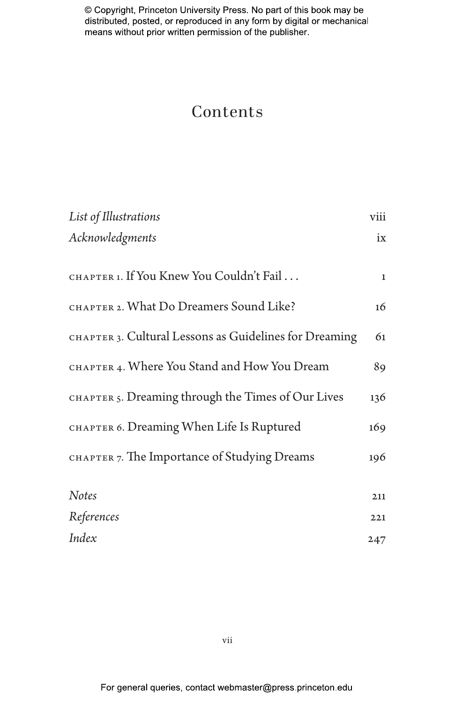# Contents

| List of Illustrations                                  | viii        |
|--------------------------------------------------------|-------------|
| Acknowledgments                                        | ix          |
|                                                        |             |
| CHAPTER 1. If You Knew You Couldn't Fail               | $\mathbf 1$ |
| CHAPTER 2. What Do Dreamers Sound Like?                | 16          |
| CHAPTER 3. Cultural Lessons as Guidelines for Dreaming | 61          |
| CHAPTER 4. Where You Stand and How You Dream           | 89          |
| CHAPTER 5. Dreaming through the Times of Our Lives     | 136         |
| CHAPTER 6. Dreaming When Life Is Ruptured              | 169         |
| CHAPTER 7. The Importance of Studying Dreams           | 196         |
| <b>Notes</b>                                           | 211         |
| References                                             | 221         |
| Index                                                  | 247         |

vii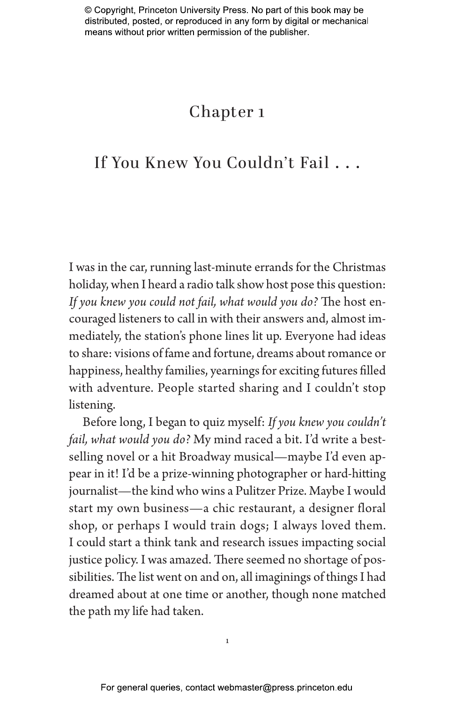# Chapter 1

# If You Knew You Couldn't Fail . . .

I was in the car, running last-minute errands for the Christmas holiday, when I heard a radio talk show host pose this question: *If you knew you could not fail, what would you do?* The host encouraged listeners to call in with their answers and, almost immediately, the station's phone lines lit up. Everyone had ideas to share: visions of fame and fortune, dreams about romance or happiness, healthy families, yearnings for exciting futures filled with adventure. People started sharing and I couldn't stop listening.

Before long, I began to quiz myself: *If you knew you couldn't fail, what would you do?* My mind raced a bit. I'd write a bestselling novel or a hit Broadway musical—maybe I'd even appear in it! I'd be a prize-winning photographer or hard-hitting journalist—the kind who wins a Pulitzer Prize. Maybe I would start my own business—a chic restaurant, a designer floral shop, or perhaps I would train dogs; I always loved them. I could start a think tank and research issues impacting social justice policy. I was amazed. There seemed no shortage of possibilities. The list went on and on, all imaginings of things I had dreamed about at one time or another, though none matched the path my life had taken.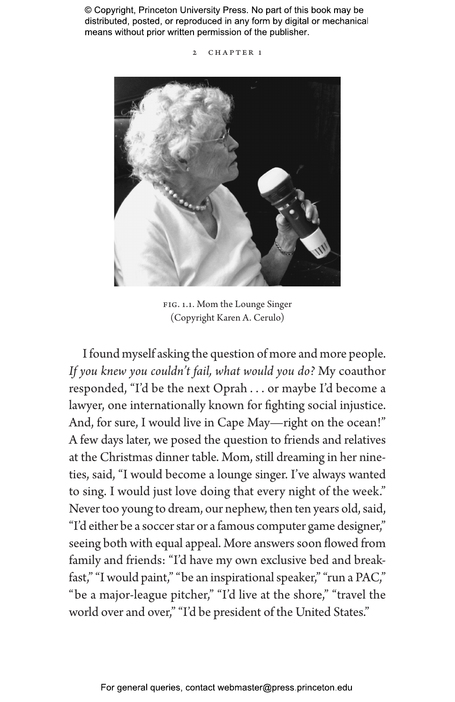2 CHAPTER 1



Fig. 1.1. Mom the Lounge Singer (Copyright Karen A. Cerulo)

I found myself asking the question of more and more people. *If you knew you couldn't fail, what would you do?* My coauthor responded, "I'd be the next Oprah . . . or maybe I'd become a lawyer, one internationally known for fighting social injustice. And, for sure, I would live in Cape May—right on the ocean!" A few days later, we posed the question to friends and relatives at the Christmas dinner table. Mom, still dreaming in her nineties, said, "I would become a lounge singer. I've always wanted to sing. I would just love doing that every night of the week." Never too young to dream, our nephew, then ten years old, said, "I'd either be a soccer star or a famous computer game designer," seeing both with equal appeal. More answers soon flowed from family and friends: "I'd have my own exclusive bed and breakfast," "I would paint," "be an inspirational speaker," "run a PAC," "be a major-league pitcher," "I'd live at the shore," "travel the world over and over," "I'd be president of the United States."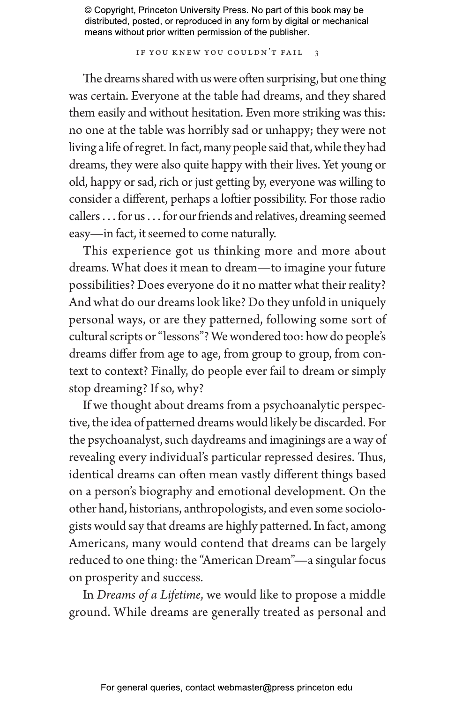IF YOU KNEW YOU COULDN'T FAIL 3

The dreams shared with us were often surprising, but one thing was certain. Everyone at the table had dreams, and they shared them easily and without hesitation. Even more striking was this: no one at the table was horribly sad or unhappy; they were not living a life of regret. In fact, many people said that, while they had dreams, they were also quite happy with their lives. Yet young or old, happy or sad, rich or just getting by, everyone was willing to consider a diferent, perhaps a loftier possibility. For those radio callers. . . for us. . . for our friends and relatives, dreaming seemed easy—in fact, it seemed to come naturally.

This experience got us thinking more and more about dreams. What does it mean to dream—to imagine your future possibilities? Does everyone do it no matter what their reality? And what do our dreams look like? Do they unfold in uniquely personal ways, or are they patterned, following some sort of cultural scripts or "lessons"? We wondered too: how do people's dreams differ from age to age, from group to group, from context to context? Finally, do people ever fail to dream or simply stop dreaming? If so, why?

If we thought about dreams from a psychoanalytic perspective, the idea of patterned dreams would likely be discarded. For the psychoanalyst, such daydreams and imaginings are a way of revealing every individual's particular repressed desires. Thus, identical dreams can often mean vastly diferent things based on a person's biography and emotional development. On the other hand, historians, anthropologists, and even some sociologists would say that dreams are highly patterned. In fact, among Americans, many would contend that dreams can be largely reduced to one thing: the "American Dream"—a singular focus on prosperity and success.

In *Dreams of a Lifetime*, we would like to propose a middle ground. While dreams are generally treated as personal and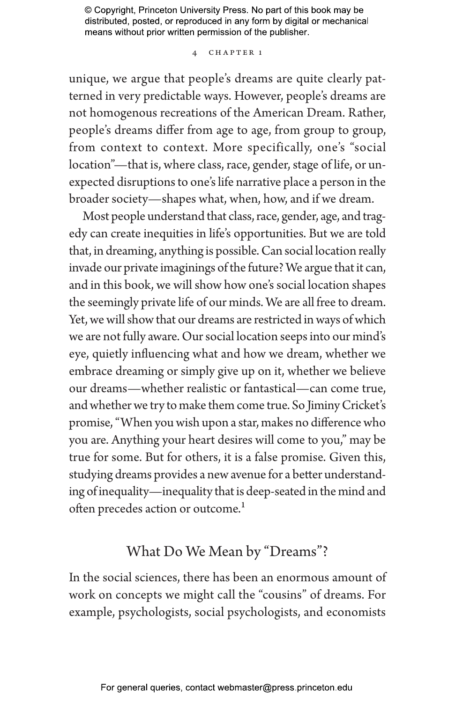### 4 Chapter 1

unique, we argue that people's dreams are quite clearly patterned in very predictable ways. However, people's dreams are not homogenous recreations of the American Dream. Rather, people's dreams differ from age to age, from group to group, from context to context. More specifically, one's "social location"—that is, where class, race, gender, stage of life, or unexpected disruptions to one's life narrative place a person in the broader society—shapes what, when, how, and if we dream.

Most people understand that class, race, gender, age, and tragedy can create inequities in life's opportunities. But we are told that, in dreaming, anything is possible. Can social location really invade our private imaginings of the future? We argue that it can, and in this book, we will show how one's social location shapes the seemingly private life of our minds. We are all free to dream. Yet, we will show that our dreams are restricted in ways of which we are not fully aware. Our social location seeps into our mind's eye, quietly influencing what and how we dream, whether we embrace dreaming or simply give up on it, whether we believe our dreams—whether realistic or fantastical—can come true, and whether we try to make them come true. So Jiminy Cricket's promise, "When you wish upon a star, makes no difference who you are. Anything your heart desires will come to you," may be true for some. But for others, it is a false promise. Given this, studying dreams provides a new avenue for a better understanding of inequality—inequality that is deep-seated in the mind and often precedes action or outcome.<sup>1</sup>

## What Do We Mean by "Dreams"?

In the social sciences, there has been an enormous amount of work on concepts we might call the "cousins" of dreams. For example, psychologists, social psychologists, and economists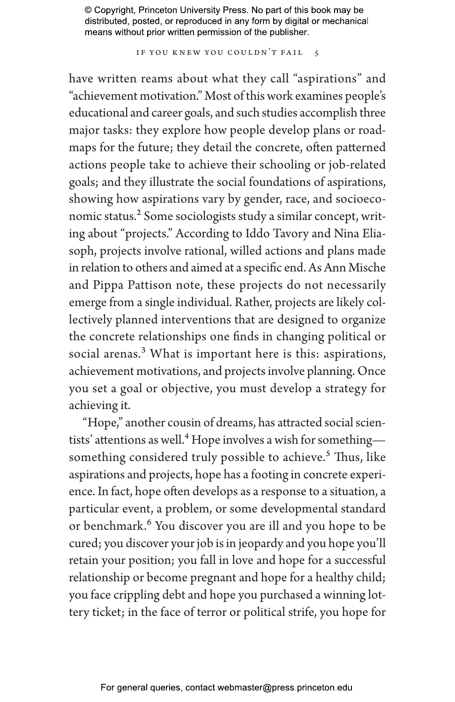IF YOU KNEW YOU COULDN'T FAIL 5

have written reams about what they call "aspirations" and "achievement motivation." Most of this work examines people's educational and career goals, and such studies accomplish three major tasks: they explore how people develop plans or roadmaps for the future; they detail the concrete, often patterned actions people take to achieve their schooling or job-related goals; and they illustrate the social foundations of aspirations, showing how aspirations vary by gender, race, and socioeconomic status.<sup>2</sup> Some sociologists study a similar concept, writing about "projects." According to Iddo Tavory and Nina Eliasoph, projects involve rational, willed actions and plans made in relation to others and aimed at a specific end. As Ann Mische and Pippa Pattison note, these projects do not necessarily emerge from a single individual. Rather, projects are likely collectively planned interventions that are designed to organize the concrete relationships one finds in changing political or social arenas.<sup>3</sup> What is important here is this: aspirations, achievement motivations, and projects involve planning. Once you set a goal or objective, you must develop a strategy for achieving it.

"Hope," another cousin of dreams, has attracted social scientists' attentions as well.<sup>4</sup> Hope involves a wish for something something considered truly possible to achieve.<sup>5</sup> Thus, like aspirations and projects, hope has a footing in concrete experience. In fact, hope often develops as a response to a situation, a particular event, a problem, or some developmental standard or benchmark.<sup>6</sup> You discover you are ill and you hope to be cured; you discover your job is in jeopardy and you hope you'll retain your position; you fall in love and hope for a successful relationship or become pregnant and hope for a healthy child; you face crippling debt and hope you purchased a winning lottery ticket; in the face of terror or political strife, you hope for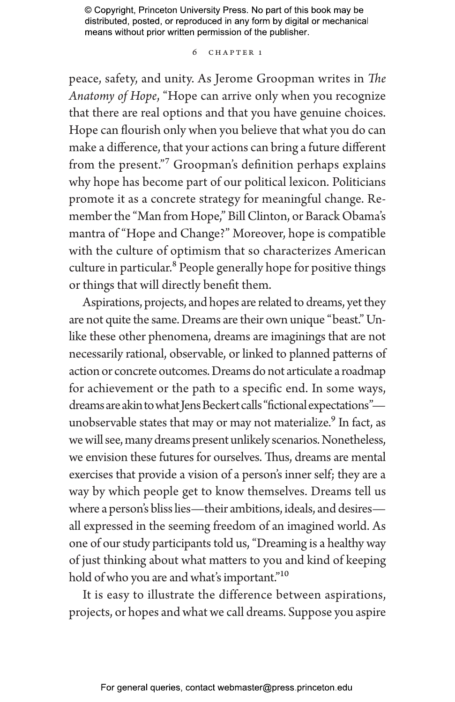### 6 Chapter 1

peace, safety, and unity. As Jerome Groopman writes in *The Anatomy of Hope*, "Hope can arrive only when you recognize that there are real options and that you have genuine choices. Hope can flourish only when you believe that what you do can make a difference, that your actions can bring a future diferent from the present."7 Groopman's definition perhaps explains why hope has become part of our political lexicon. Politicians promote it as a concrete strategy for meaningful change. Remember the "Man from Hope," Bill Clinton, or Barack Obama's mantra of "Hope and Change?" Moreover, hope is compatible with the culture of optimism that so characterizes American culture in particular.<sup>8</sup> People generally hope for positive things or things that will directly benefit them.

Aspirations, projects, and hopes are related to dreams, yet they are not quite the same. Dreams are their own unique "beast." Unlike these other phenomena, dreams are imaginings that are not necessarily rational, observable, or linked to planned patterns of action or concrete outcomes. Dreams do not articulate a roadmap for achievement or the path to a specific end. In some ways, dreams are akin to what Jens Beckert calls "fictional expectations" unobservable states that may or may not materialize.<sup>9</sup> In fact, as we will see, many dreams present unlikely scenarios. Nonetheless, we envision these futures for ourselves. Thus, dreams are mental exercises that provide a vision of a person's inner self; they are a way by which people get to know themselves. Dreams tell us where a person's bliss lies—their ambitions, ideals, and desires all expressed in the seeming freedom of an imagined world. As one of our study participants told us, "Dreaming is a healthy way of just thinking about what matters to you and kind of keeping hold of who you are and what's important."<sup>10</sup>

It is easy to illustrate the difference between aspirations, projects, or hopes and what we call dreams. Suppose you aspire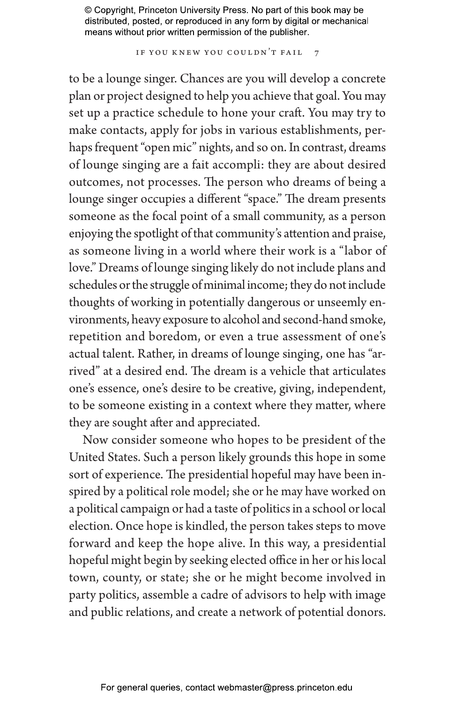IF YOU KNEW YOU COULDN'T FAIL 7

to be a lounge singer. Chances are you will develop a concrete plan or project designed to help you achieve that goal. You may set up a practice schedule to hone your craft. You may try to make contacts, apply for jobs in various establishments, perhaps frequent "open mic" nights, and so on. In contrast, dreams of lounge singing are a fait accompli: they are about desired outcomes, not processes. The person who dreams of being a lounge singer occupies a diferent "space." The dream presents someone as the focal point of a small community, as a person enjoying the spotlight of that community's attention and praise, as someone living in a world where their work is a "labor of love." Dreams of lounge singing likely do not include plans and schedules or the struggle of minimal income; they do not include thoughts of working in potentially dangerous or unseemly environments, heavy exposure to alcohol and second-hand smoke, repetition and boredom, or even a true assessment of one's actual talent. Rather, in dreams of lounge singing, one has "arrived" at a desired end. The dream is a vehicle that articulates one's essence, one's desire to be creative, giving, independent, to be someone existing in a context where they matter, where they are sought after and appreciated.

Now consider someone who hopes to be president of the United States. Such a person likely grounds this hope in some sort of experience. The presidential hopeful may have been inspired by a political role model; she or he may have worked on a political campaign or had a taste of politics in a school or local election. Once hope is kindled, the person takes steps to move forward and keep the hope alive. In this way, a presidential hopeful might begin by seeking elected office in her or his local town, county, or state; she or he might become involved in party politics, assemble a cadre of advisors to help with image and public relations, and create a network of potential donors.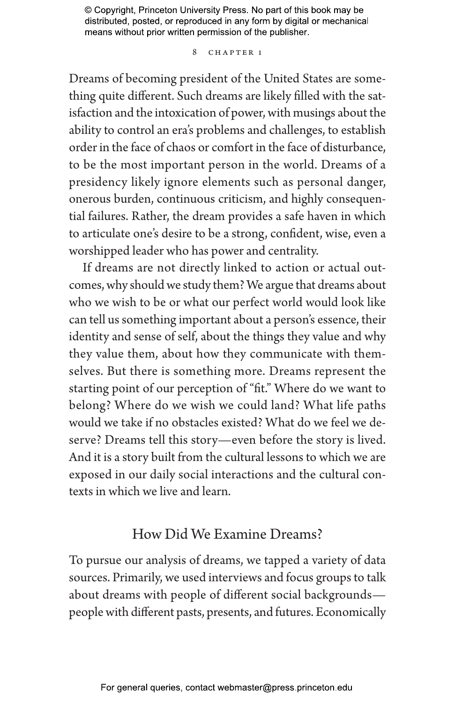### 8 CHAPTER 1

Dreams of becoming president of the United States are something quite diferent. Such dreams are likely filled with the satisfaction and the intoxication of power, with musings about the ability to control an era's problems and challenges, to establish order in the face of chaos or comfort in the face of disturbance, to be the most important person in the world. Dreams of a presidency likely ignore elements such as personal danger, onerous burden, continuous criticism, and highly consequential failures. Rather, the dream provides a safe haven in which to articulate one's desire to be a strong, confident, wise, even a worshipped leader who has power and centrality.

If dreams are not directly linked to action or actual outcomes, why should we study them? We argue that dreams about who we wish to be or what our perfect world would look like can tell us something important about a person's essence, their identity and sense of self, about the things they value and why they value them, about how they communicate with themselves. But there is something more. Dreams represent the starting point of our perception of "fit." Where do we want to belong? Where do we wish we could land? What life paths would we take if no obstacles existed? What do we feel we deserve? Dreams tell this story—even before the story is lived. And it is a story built from the cultural lessons to which we are exposed in our daily social interactions and the cultural contexts in which we live and learn.

### How Did We Examine Dreams?

To pursue our analysis of dreams, we tapped a variety of data sources. Primarily, we used interviews and focus groups to talk about dreams with people of diferent social backgrounds people with diferent pasts, presents, and futures. Economically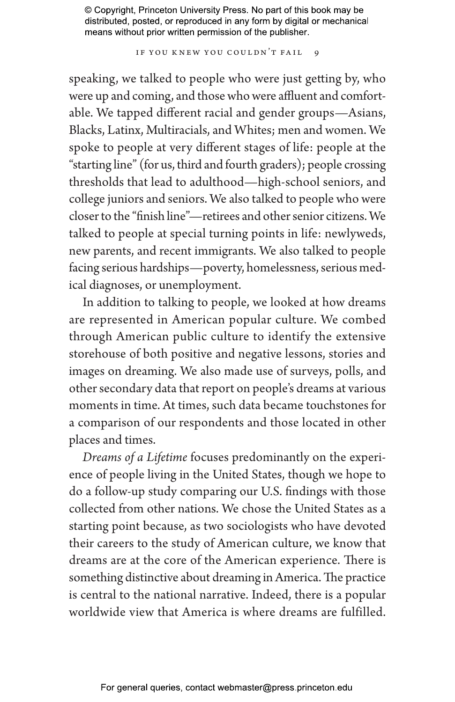IF YOU KNEW YOU COULDN'T FAIL 9

speaking, we talked to people who were just getting by, who were up and coming, and those who were affluent and comfortable. We tapped diferent racial and gender groups—Asians, Blacks, Latinx, Multiracials, and Whites; men and women. We spoke to people at very diferent stages of life: people at the "starting line" (for us, third and fourth graders); people crossing thresholds that lead to adulthood—high-school seniors, and college juniors and seniors. We also talked to people who were closer to the "finish line"—retirees and other senior citizens. We talked to people at special turning points in life: newlyweds, new parents, and recent immigrants. We also talked to people facing serious hardships—poverty, homelessness, serious medical diagnoses, or unemployment.

In addition to talking to people, we looked at how dreams are represented in American popular culture. We combed through American public culture to identify the extensive storehouse of both positive and negative lessons, stories and images on dreaming. We also made use of surveys, polls, and other secondary data that report on people's dreams at various moments in time. At times, such data became touchstones for a comparison of our respondents and those located in other places and times.

*Dreams of a Lifetime* focuses predominantly on the experience of people living in the United States, though we hope to do a follow-up study comparing our U.S. findings with those collected from other nations. We chose the United States as a starting point because, as two sociologists who have devoted their careers to the study of American culture, we know that dreams are at the core of the American experience. There is something distinctive about dreaming in America. The practice is central to the national narrative. Indeed, there is a popular worldwide view that America is where dreams are fulfilled.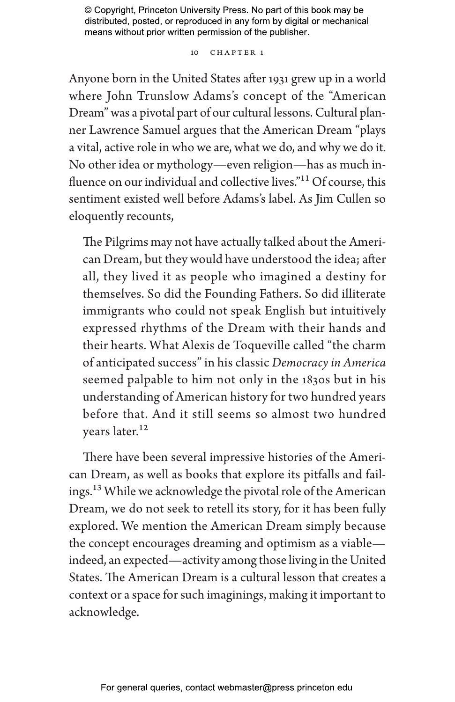10 CHAPTER 1

Anyone born in the United States after 1931 grew up in a world where John Trunslow Adams's concept of the "American Dream" was a pivotal part of our cultural lessons. Cultural planner Lawrence Samuel argues that the American Dream "plays a vital, active role in who we are, what we do, and why we do it. No other idea or mythology—even religion—has as much influence on our individual and collective lives."11 Of course, this sentiment existed well before Adams's label. As Jim Cullen so eloquently recounts,

The Pilgrims may not have actually talked about the American Dream, but they would have understood the idea; after all, they lived it as people who imagined a destiny for themselves. So did the Founding Fathers. So did illiterate immigrants who could not speak English but intuitively expressed rhythms of the Dream with their hands and their hearts. What Alexis de Toqueville called "the charm of anticipated success" in his classic *Democracy in America* seemed palpable to him not only in the 1830s but in his understanding of American history for two hundred years before that. And it still seems so almost two hundred years later.<sup>12</sup>

There have been several impressive histories of the American Dream, as well as books that explore its pitfalls and failings.13 While we acknowledge the pivotal role of the American Dream, we do not seek to retell its story, for it has been fully explored. We mention the American Dream simply because the concept encourages dreaming and optimism as a viable indeed, an expected—activity among those living in the United States. The American Dream is a cultural lesson that creates a context or a space for such imaginings, making it important to acknowledge.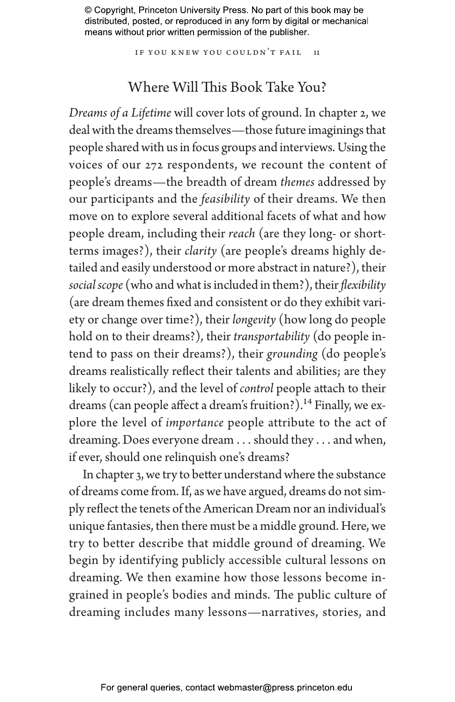IF YOU KNEW YOU COULDN'T FAIL 11

## Where Will This Book Take You?

*Dreams of a Lifetime* will cover lots of ground. In chapter 2, we deal with the dreams themselves—those future imaginings that people shared with us in focus groups and interviews. Using the voices of our 272 respondents, we recount the content of people's dreams—the breadth of dream *themes* addressed by our participants and the *feasibility* of their dreams. We then move on to explore several additional facets of what and how people dream, including their *reach* (are they long- or shortterms images?), their *clarity* (are people's dreams highly detailed and easily understood or more abstract in nature?), their *social scope* (who and what is included in them?), their *flexibility* (are dream themes fixed and consistent or do they exhibit variety or change over time?), their *longevity* (how long do people hold on to their dreams?), their *transportability* (do people intend to pass on their dreams?), their *grounding* (do people's dreams realistically reflect their talents and abilities; are they likely to occur?), and the level of *control* people attach to their dreams (can people affect a dream's fruition?).<sup>14</sup> Finally, we explore the level of *importance* people attribute to the act of dreaming. Does everyone dream . . . should they . . . and when, if ever, should one relinquish one's dreams?

In chapter 3, we try to better understand where the substance of dreams come from. If, as we have argued, dreams do not simply reflect the tenets of the American Dream nor an individual's unique fantasies, then there must be a middle ground. Here, we try to better describe that middle ground of dreaming. We begin by identifying publicly accessible cultural lessons on dreaming. We then examine how those lessons become ingrained in people's bodies and minds. The public culture of dreaming includes many lessons—narratives, stories, and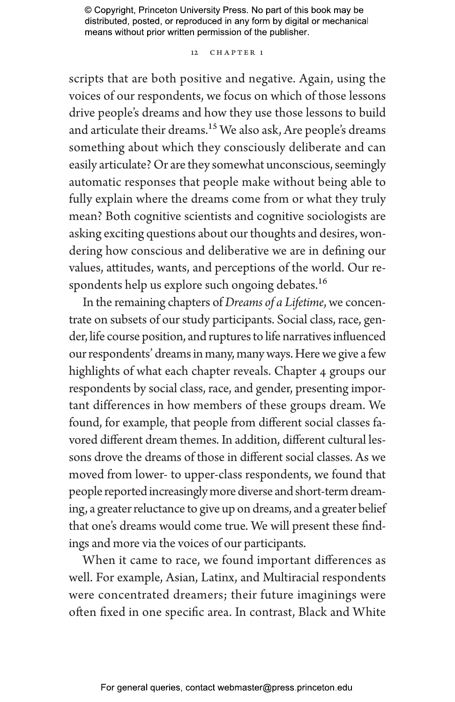### 12 CHAPTER 1

scripts that are both positive and negative. Again, using the voices of our respondents, we focus on which of those lessons drive people's dreams and how they use those lessons to build and articulate their dreams.<sup>15</sup> We also ask, Are people's dreams something about which they consciously deliberate and can easily articulate? Or are they somewhat unconscious, seemingly automatic responses that people make without being able to fully explain where the dreams come from or what they truly mean? Both cognitive scientists and cognitive sociologists are asking exciting questions about our thoughts and desires, wondering how conscious and deliberative we are in defining our values, attitudes, wants, and perceptions of the world. Our respondents help us explore such ongoing debates.<sup>16</sup>

In the remaining chapters of *Dreams of a Lifetime*, we concentrate on subsets of our study participants. Social class, race, gender, life course position, and ruptures to life narratives influenced our respondents' dreams in many, many ways. Here we give a few highlights of what each chapter reveals. Chapter 4 groups our respondents by social class, race, and gender, presenting important differences in how members of these groups dream. We found, for example, that people from diferent social classes favored diferent dream themes. In addition, diferent cultural lessons drove the dreams of those in diferent social classes. As we moved from lower- to upper-class respondents, we found that people reported increasingly more diverse and short-term dreaming, a greater reluctance to give up on dreams, and a greater belief that one's dreams would come true. We will present these findings and more via the voices of our participants.

When it came to race, we found important differences as well. For example, Asian, Latinx, and Multiracial respondents were concentrated dreamers; their future imaginings were often fixed in one specific area. In contrast, Black and White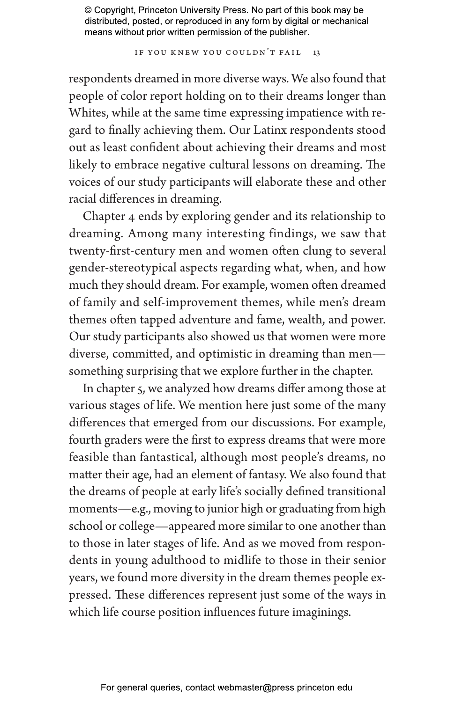IF YOU KNEW YOU COULDN'T FAIL 13

respondents dreamed in more diverse ways. We also found that people of color report holding on to their dreams longer than Whites, while at the same time expressing impatience with regard to finally achieving them. Our Latinx respondents stood out as least confident about achieving their dreams and most likely to embrace negative cultural lessons on dreaming. The voices of our study participants will elaborate these and other racial differences in dreaming.

Chapter 4 ends by exploring gender and its relationship to dreaming. Among many interesting findings, we saw that twenty-first-century men and women often clung to several gender-stereotypical aspects regarding what, when, and how much they should dream. For example, women often dreamed of family and self-improvement themes, while men's dream themes often tapped adventure and fame, wealth, and power. Our study participants also showed us that women were more diverse, committed, and optimistic in dreaming than men something surprising that we explore further in the chapter.

In chapter 5, we analyzed how dreams differ among those at various stages of life. We mention here just some of the many differences that emerged from our discussions. For example, fourth graders were the first to express dreams that were more feasible than fantastical, although most people's dreams, no matter their age, had an element of fantasy. We also found that the dreams of people at early life's socially defined transitional moments—e.g., moving to junior high or graduating from high school or college—appeared more similar to one another than to those in later stages of life. And as we moved from respondents in young adulthood to midlife to those in their senior years, we found more diversity in the dream themes people expressed. These differences represent just some of the ways in which life course position influences future imaginings.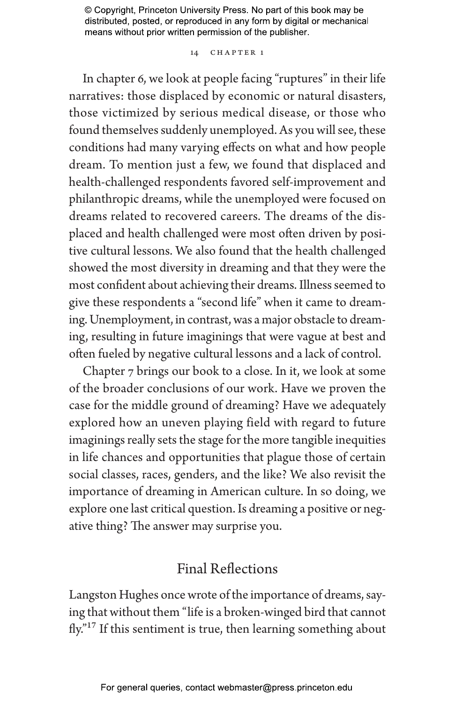14 CHAPTER 1

In chapter 6, we look at people facing "ruptures" in their life narratives: those displaced by economic or natural disasters, those victimized by serious medical disease, or those who found themselves suddenly unemployed. As you will see, these conditions had many varying effects on what and how people dream. To mention just a few, we found that displaced and health-challenged respondents favored self-improvement and philanthropic dreams, while the unemployed were focused on dreams related to recovered careers. The dreams of the displaced and health challenged were most often driven by positive cultural lessons. We also found that the health challenged showed the most diversity in dreaming and that they were the most confident about achieving their dreams. Illness seemed to give these respondents a "second life" when it came to dreaming. Unemployment, in contrast, was a major obstacle to dreaming, resulting in future imaginings that were vague at best and often fueled by negative cultural lessons and a lack of control.

Chapter 7 brings our book to a close. In it, we look at some of the broader conclusions of our work. Have we proven the case for the middle ground of dreaming? Have we adequately explored how an uneven playing field with regard to future imaginings really sets the stage for the more tangible inequities in life chances and opportunities that plague those of certain social classes, races, genders, and the like? We also revisit the importance of dreaming in American culture. In so doing, we explore one last critical question. Is dreaming a positive or negative thing? The answer may surprise you.

## Final Reflections

Langston Hughes once wrote of the importance of dreams, saying that without them "life is a broken-winged bird that cannot fly."17 If this sentiment is true, then learning something about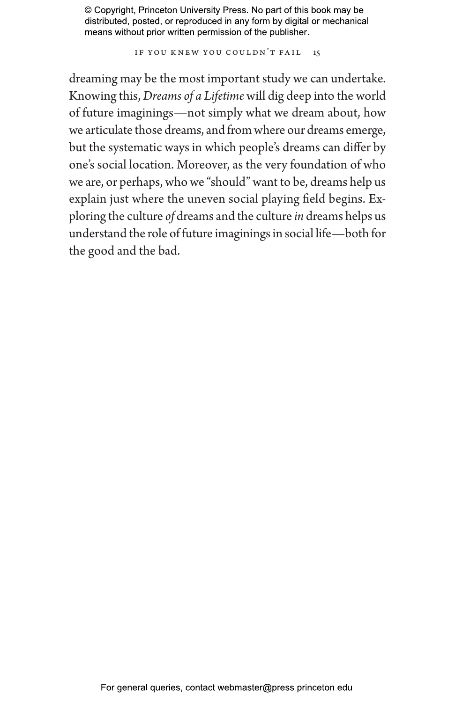IF YOU KNEW YOU COULDN'T FAIL 15

dreaming may be the most important study we can undertake. Knowing this, *Dreams of a Lifetime* will dig deep into the world of future imaginings—not simply what we dream about, how we articulate those dreams, and from where our dreams emerge, but the systematic ways in which people's dreams can differ by one's social location. Moreover, as the very foundation of who we are, or perhaps, who we "should" want to be, dreams help us explain just where the uneven social playing field begins. Exploring the culture *of* dreams and the culture *in* dreams helps us understand the role of future imaginings in social life—both for the good and the bad.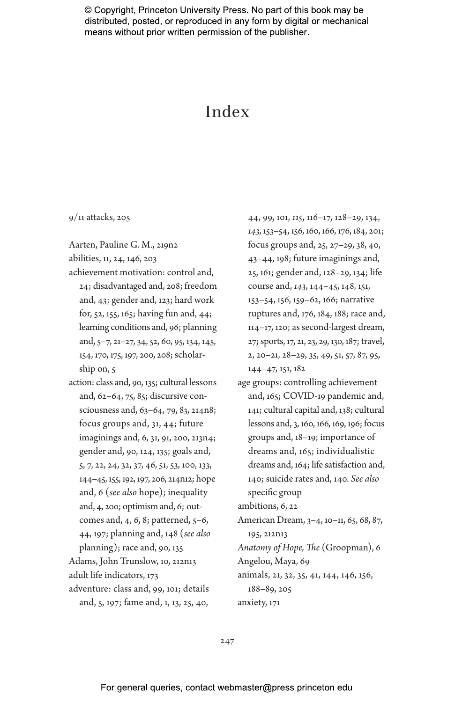# Index

9/11 attacks, 205

Aarten, Pauline G. M., 219n2

abilities, 11, 24, 146, 203

- achievement motivation: control and, 24; disadvantaged and, 208; freedom and, 43; gender and, 123; hard work for, 52, 155, 165; having fun and, 44; learning conditions and, 96; planning and, 5–7, 21–27, 34, 52, 60, 95, 134, 145, 154, 170, 175, 197, 200, 208; scholarship on, 5
- action: class and, 90, 135; cultural lessons and, 62–64, 75, 85; discursive consciousness and, 63–64, 79, 83, 214n8; focus groups and, 31, 44; future imaginings and, 6, 31, 91, 200, 213n4; gender and, 90, 124, 135; goals and, 5, 7, 22, 24, 32, 37, 46, 51, 53, 100, 133, 144–45, 155, 192, 197, 206, 214n12; hope and, 6 (*see also* hope); inequality and, 4, 200; optimism and, 6; outcomes and, 4, 6, 8; patterned, 5–6, 44, 197; planning and, 148 (*see also* planning); race and, 90, 135 Adams, John Trunslow, 10, 212n13 adult life indicators, 173 adventure: class and, 99, 101; details and, 5, 197; fame and, 1, 13, 25, 40,

44, 99, 101, *115*, 116–17, 128–29, 134, *143*, 153–54, 156, 160, 166, 176, 184, 201; focus groups and, 25, 27–29, 38, 40, 43–44, 198; future imaginings and, 25, 161; gender and, 128–29, 134; life course and, *143*, 144–45, 148, 151, 153–54, 156, 159–62, 166; narrative ruptures and, 176, 184, 188; race and, 114–17, 120; as second-largest dream, 27; sports, 17, 21, 23, 29, 130, 187; travel, 2, 20–21, 28–29, 35, 49, 51, 57, 87, 95, 144–47, 151, 182

age groups: controlling achievement and, 165; COVID-19 pandemic and, 141; cultural capital and, 138; cultural lessons and, 3, 160, 166, 169, 196; focus groups and, 18–19; importance of dreams and, 165; individualistic dreams and, 164; life satisfaction and, 140; suicide rates and, 140. *See also* specific group

ambitions, 6, 22

American Dream, 3–4, 10–11, 65, 68, 87, 195, 212n13 *Anatomy of Hope, The* (Groopman), 6 Angelou, Maya, 69 animals, 21, 32, 35, 41, 144, 146, 156,

188–89, 205

anxiety, 171

247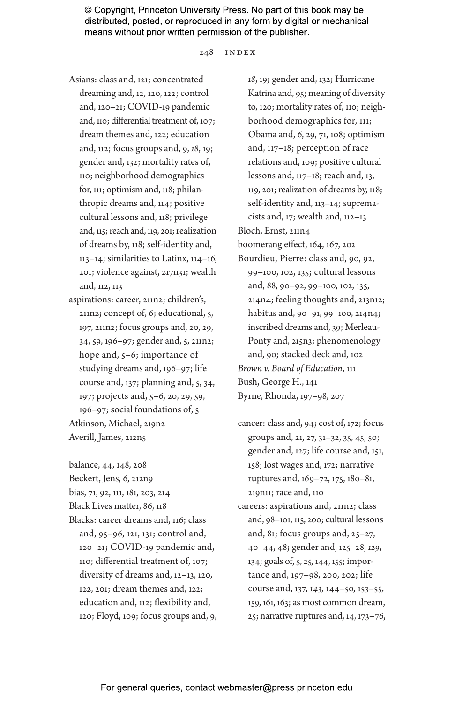248 index

- Asians: class and, 121; concentrated dreaming and, 12, 120, 122; control and, 120–21; COVID-19 pandemic and, 110; differential treatment of, 107; dream themes and, 122; education and, 112; focus groups and, 9, *18*, 19; gender and, 132; mortality rates of, 110; neighborhood demographics for, 111; optimism and, 118; philanthropic dreams and, 114; positive cultural lessons and, 118; privilege and, 115; reach and, 119, 201; realization of dreams by, 118; self-identity and, 113–14; similarities to Latinx, 114–16, 201; violence against, 217n31; wealth and, 112, 113
- aspirations: career, 211n2; children's, 211n2; concept of, 6; educational, 5, 197, 211n2; focus groups and, 20, 29, 34, 59, 196–97; gender and, 5, 211n2; hope and, 5–6; importance of studying dreams and, 196–97; life course and, 137; planning and, 5, 34, 197; projects and, 5–6, 20, 29, 59, 196–97; social foundations of, 5 Atkinson, Michael, 219n2 Averill, James, 212n5

balance, 44, 148, 208 Beckert, Jens, 6, 212n9 bias, 71, 92, 111, 181, 203, 214 Black Lives matter, 86, 118 Blacks: career dreams and, 116; class and, 95–96, 121, 131; control and, 120–21; COVID-19 pandemic and, 110; differential treatment of, 107; diversity of dreams and, 12–13, 120, 122, 201; dream themes and, 122; education and, 112; flexibility and, 120; Floyd, 109; focus groups and, 9,

*18*, 19; gender and, 132; Hurricane Katrina and, 95; meaning of diversity to, 120; mortality rates of, 110; neighborhood demographics for, 111; Obama and, 6, 29, 71, 108; optimism and, 117–18; perception of race relations and, 109; positive cultural lessons and, 117–18; reach and, 13, 119, 201; realization of dreams by, 118; self-identity and, 113–14; supremacists and, 17; wealth and, 112–13 Bloch, Ernst, 211n4 boomerang effect, 164, 167, 202 Bourdieu, Pierre: class and, 90, 92, 99–100, 102, 135; cultural lessons and, 88, 90–92, 99–100, 102, 135, 214n4; feeling thoughts and, 213n12; habitus and, 90–91, 99–100, 214n4; inscribed dreams and, 39; Merleau-Ponty and, 215n3; phenomenology and, 90; stacked deck and, 102 *Brown v. Board of Education*, 111 Bush, George H., 141 Byrne, Rhonda, 197–98, 207

- cancer: class and, 94; cost of, 172; focus groups and, 21, 27, 31–32, 35, 45, 50; gender and, 127; life course and, 151, 158; lost wages and, 172; narrative ruptures and, 169–72, 175, 180–81, 219n11; race and, 110
- careers: aspirations and, 211n2; class and, 98–101, 115, 200; cultural lessons and, 81; focus groups and, 25–27, 40–44, 48; gender and, 125–28, *129*, 134; goals of, 5, 25, 144, 155; importance and, 197–98, 200, 202; life course and, 137, *143*, 144–50, 153–55, 159, 161, 163; as most common dream, 25; narrative ruptures and, 14, 173–76,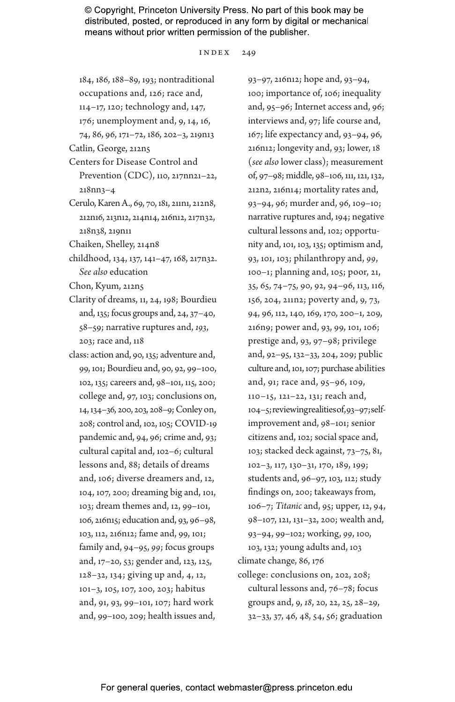index 249

184, 186, 188–89, 193; nontraditional occupations and, 126; race and, 114–17, 120; technology and, 147, 176; unemployment and, 9, 14, 16, 74, 86, 96, 171–72, 186, 202–3, 219n13

- Catlin, George, 212n5
- Centers for Disease Control and Prevention (CDC), 110, 217nn21–22, 218nn3–4
- Cerulo, Karen A., 69, 70, 181, 211n1, 212n8, 212n16, 213n12, 214n14, 216n12, 217n32, 218n38, 219n11
- Chaiken, Shelley, 214n8
- childhood, 134, 137, 141–47, 168, 217n32. *See also* education
- Chon, Kyum, 212n5
- Clarity of dreams, 11, 24, 198; Bourdieu and, 135; focus groups and, 24, 37–40, 58–59; narrative ruptures and, *193*, 203; race and, 118
- class: action and, 90, 135; adventure and, 99, 101; Bourdieu and, 90, 92, 99–100, 102, 135; careers and, 98–101, 115, 200; college and, 97, 103; conclusions on, 14, 134–36, 200, 203, 208–9; Conley on, 208; control and, 102, 105; COVID-19 pandemic and, 94, 96; crime and, 93; cultural capital and, 102–6; cultural lessons and, 88; details of dreams and, 106; diverse dreamers and, 12, 104, 107, 200; dreaming big and, 101, 103; dream themes and, 12, 99–101, 106, 216n15; education and, 93, 96–98, 103, 112, 216n12; fame and, 99, 101; family and, 94–95, *99*; focus groups and, 17–20, 53; gender and, 123, 125, 128–32, 134; giving up and, 4, 12, 101–3, 105, 107, 200, 203; habitus and, 91, 93, 99–101, 107; hard work and, 99–100, 209; health issues and,

93–97, 216n12; hope and, 93–94, 100; importance of, 106; inequality and, 95–96; Internet access and, 96; interviews and, 97; life course and, 167; life expectancy and, 93–94, 96, 216n12; longevity and, 93; lower, 18 (*see also* lower class); measurement of, 97–98; middle, 98–106, 111, 121, 132, 212n2, 216n14; mortality rates and, 93–94, 96; murder and, 96, 109–10; narrative ruptures and, 194; negative cultural lessons and, 102; opportunity and, 101, 103, 135; optimism and, 93, 101, 103; philanthropy and, *99*, 100–1; planning and, 105; poor, 21, 35, 65, 74–75, 90, 92, 94–96, 113, 116, 156, 204, 211n2; poverty and, 9, 73, 94, 96, 112, 140, 169, 170, 200–1, 209, 216n9; power and, 93, 99, 101, 106; prestige and, 93, 97–98; privilege and, 92–95, 132–33, 204, 209; public culture and, 101, 107; purchase abilities and, 91; race and, 95–96, 109, 110–15, 121–22, 131; reach and, 104–5; reviewing realities of, 93–97; selfimprovement and, 98–101; senior citizens and, 102; social space and, 103; stacked deck against, 73–75, 81, 102–3, 117, 130–31, 170, 189, 199; students and, 96–97, 103, 112; study findings on, 200; takeaways from, 106–7; *Titanic* and, 95; upper, 12, 94, 98–107, 121, 131–32, 200; wealth and, 93–94, 99–102; working, *99*, 100, 103, 132; young adults and, 103 climate change, 86, 176 college: conclusions on, 202, 208; cultural lessons and, 76–78; focus groups and, 9, *18*, 20, 22, 25, 28–29,

32–33, 37, 46, 48, 54, 56; graduation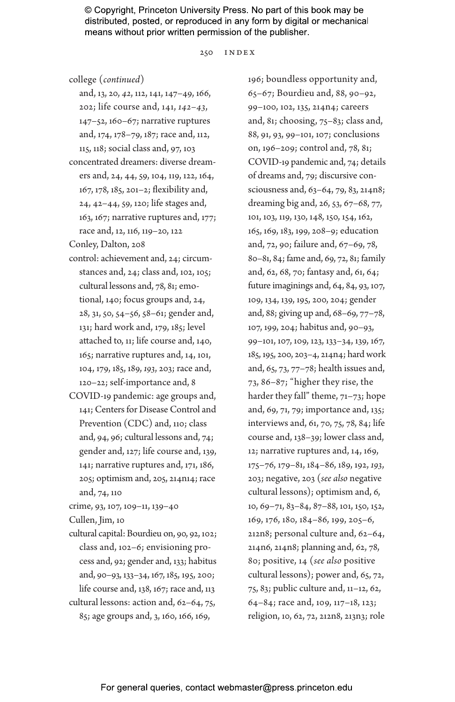250 index

college (*continued*)

- and, 13, 20, *42*, 112, 141, 147–49, 166, 202; life course and, 141, *142–43*, 147–52, 160–67; narrative ruptures and, 174, 178–79, 187; race and, 112, 115, 118; social class and, 97, 103
- concentrated dreamers: diverse dreamers and, 24, 44, 59, 104, 119, 122, 164, 167, 178, 185, 201–2; flexibility and, 24, 42–44, 59, 120; life stages and, 163, 167; narrative ruptures and, 177; race and, 12, 116, 119–20, 122

Conley, Dalton, 208

- control: achievement and, 24; circumstances and, 24; class and, 102, 105; cultural lessons and, 78, 81; emotional, 140; focus groups and, 24, 28, 31, 50, 54–56, 58–61; gender and, 131; hard work and, 179, 185; level attached to, 11; life course and, 140, 165; narrative ruptures and, 14, 101, 104, 179, 185, 189, *193*, 203; race and, 120–22; self-importance and, 8
- COVID-19 pandemic: age groups and, 141; Centers for Disease Control and Prevention (CDC) and, 110; class and, 94, 96; cultural lessons and, 74; gender and, 127; life course and, 139, 141; narrative ruptures and, 171, 186, 205; optimism and, 205, 214n14; race and, 74, 110

crime, 93, 107, 109–11, 139–40

Cullen, Jim, 10

cultural capital: Bourdieu on, 90, 92, 102; class and, 102–6; envisioning process and, 92; gender and, 133; habitus and, 90–93, 133–34, 167, 185, 195, 200; life course and, 138, 167; race and, 113 cultural lessons: action and, 62–64, 75, 85; age groups and, 3, 160, 166, 169,

196; boundless opportunity and, 65–67; Bourdieu and, 88, 90–92, 99–100, 102, 135, 214n4; careers and, 81; choosing, 75–83; class and, 88, 91, 93, 99–101, 107; conclusions on, 196–209; control and, 78, 81; COVID-19 pandemic and, 74; details of dreams and, 79; discursive consciousness and, 63–64, 79, 83, 214n8; dreaming big and, 26, 53, 67–68, 77, 101, 103, 119, 130, 148, 150, 154, 162, 165, 169, 183, 199, 208–9; education and, 72, 90; failure and, 67–69, 78, 80–81, 84; fame and, 69, 72, 81; family and, 62, 68, 70; fantasy and, 61, 64; future imaginings and, 64, 84, 93, 107, 109, 134, 139, 195, 200, 204; gender and, 88; giving up and, 68–69, 77–78, 107, 199, 204; habitus and, 90–93, 99–101, 107, 109, 123, 133–34, 139, 167, 185, 195, 200, 203–4, 214n4; hard work and, 65, 73, 77–78; health issues and, 73, 86–87; "higher they rise, the harder they fall" theme, 71-73; hope and, 69, 71, 79; importance and, 135; interviews and, 61, 70, 75, 78, 84; life course and, 138–39; lower class and, 12; narrative ruptures and, 14, 169, 175–76, 179–81, 184–86, 189, 192, *193*, 203; negative, 203 (*see also* negative cultural lessons); optimism and, 6, 10, 69–71, 83–84, 87–88, 101, 150, 152, 169, 176, 180, 184–86, 199, 205–6, 212n8; personal culture and, 62–64, 214n6, 214n8; planning and, 62, 78, 80; positive, 14 (*see also* positive cultural lessons); power and, 65, 72, 75, 83; public culture and, 11–12, 62, 64–84; race and, 109, 117–18, 123; religion, 10, 62, 72, 212n8, 213n3; role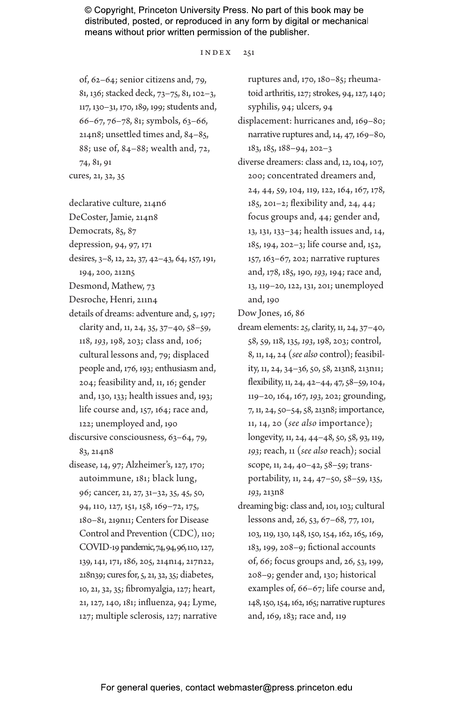index 251

of, 62–64; senior citizens and, 79, 81, 136; stacked deck, 73–75, 81, 102–3, 117, 130–31, 170, 189, 199; students and, 66–67, 76–78, 81; symbols, 63–66, 214n8; unsettled times and, 84–85, 88; use of, 84–88; wealth and, 72, 74, 81, 91 cures, 21, 32, 35

declarative culture, 214n6

DeCoster, Jamie, 214n8

Democrats, 85, 87

depression, 94, 97, 171

desires, 3–8, 12, 22, 37, 42–43, 64, 157, 191, 194, 200, 212n5

Desmond, Mathew, 73

- Desroche, Henri, 211n4
- details of dreams: adventure and, 5, 197; clarity and, 11, 24, 35, 37–40, 58–59, 118, *193*, 198, 203; class and, 106; cultural lessons and, 79; displaced people and, 176, 193; enthusiasm and, 204; feasibility and, 11, 16; gender and, 130, 133; health issues and, 193; life course and, 157, 164; race and, 122; unemployed and, 190
- discursive consciousness, 63–64, 79, 83, 214n8
- disease, 14, 97; Alzheimer's, 127, 170; autoimmune, 181; black lung, 96; cancer, 21, 27, 31–32, 35, 45, 50, 94, 110, 127, 151, 158, 169–72, 175, 180–81, 219n11; Centers for Disease Control and Prevention (CDC), 110; COVID-19 pandemic, 74, 94, 96, 110, 127, 139, 141, 171, 186, 205, 214n14, 217n22, 218n39; cures for, 5, 21, 32, 35; diabetes, 10, 21, 32, 35; fibromyalgia, 127; heart, 21, 127, 140, 181; influenza, 94; Lyme, 127; multiple sclerosis, 127; narrative

ruptures and, 170, 180–85; rheumatoid arthritis, 127; strokes, 94, 127, 140; syphilis, 94; ulcers, 94

- displacement: hurricanes and, 169–80; narrative ruptures and, 14, 47, 169–80, 183, 185, 188–94, 202–3
- diverse dreamers: class and, 12, 104, 107, 200; concentrated dreamers and, 24, 44, 59, 104, 119, 122, 164, 167, 178, 185, 201–2; flexibility and, 24, 44; focus groups and, 44; gender and, 13, 131, 133–34; health issues and, 14, 185, 194, 202–3; life course and, 152, 157, 163–67, 202; narrative ruptures and, 178, 185, 190, *193*, 194; race and, 13, 119–20, 122, 131, 201; unemployed and, 190

Dow Jones, 16, 86

- dream elements: *25*, clarity, 11, 24, 37–40, 58, 59, 118, 135, *193*, 198, 203; control, 8, 11, 14, 24 (*see also* control); feasibility, 11, 24, 34–36, 50, 58, 213n8, 213n11; flexibility, 11, 24, 42–44, 47, 58–59, 104, 119–20, 164, 167, *193*, 202; grounding, 7, 11, 24, 50–54, 58, 213n8; importance, 11, 14, 20 (*see also* importance); longevity, 11, 24, 44–48, 50, 58, 93, 119, *193*; reach, 11 (*see also* reach); social scope, 11, 24, 40–42, 58–59; transportability, 11, 24, 47–50, 58–59, 135, *193*, 213n8
- dreaming big: class and, 101, 103; cultural lessons and, 26, 53, 67–68, 77, 101, 103, 119, 130, 148, 150, 154, 162, 165, 169, 183, 199, 208–9; fictional accounts of, 66; focus groups and, 26, 53, 199, 208–9; gender and, 130; historical examples of, 66–67; life course and, 148, 150, 154, 162, 165; narrative ruptures and, 169, 183; race and, 119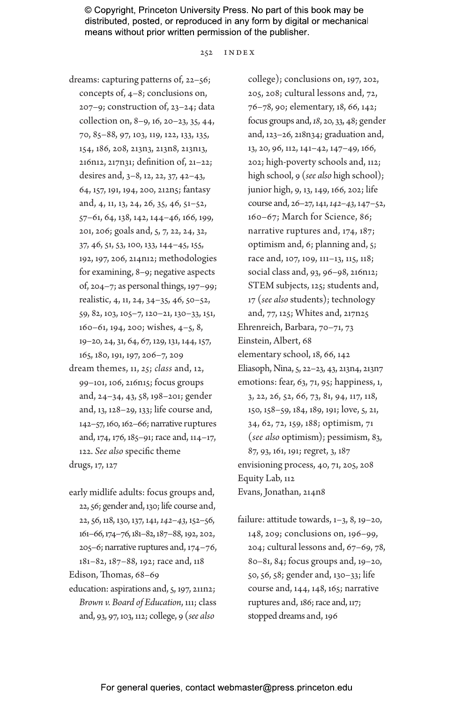252 index

dreams: capturing patterns of, 22–56; concepts of, 4–8; conclusions on, 207–9; construction of, 23–24; data collection on, 8–9, 16, 20–23, 35, 44, 70, 85–88, 97, 103, 119, 122, 133, 135, 154, 186, 208, 213n3, 213n8, 213n13, 216n12, 217n31; definition of, 21–22; desires and, 3–8, 12, 22, 37, 42–43, 64, 157, 191, 194, 200, 212n5; fantasy and, 4, 11, 13, 24, 26, 35, 46, 51–52, 57–61, 64, 138, 142, 144–46, 166, 199, 201, 206; goals and, 5, 7, 22, 24, 32, 37, 46, 51, 53, 100, 133, 144–45, 155, 192, 197, 206, 214n12; methodologies for examining, 8–9; negative aspects of, 204–7; as personal things, 197–99; realistic, 4, 11, 24, 34–35, 46, 50–52, 59, 82, 103, 105–7, 120–21, 130–33, 151, 160–61, 194, 200; wishes, 4–5, 8, 19–20, 24, 31, 64, 67, 129, 131, 144, 157, 165, 180, 191, 197, 206–7, 209 dream themes, 11, *25*; *class* and, 12,

99–101, 106, 216n15; focus groups and, 24–34, 43, 58, 198–201; gender and, 13, 128–29, 133; life course and, 142–57, 160, 162–66; narrative ruptures and, 174, 176, 185–91; race and, 114–17, 122. *See also* specific theme drugs, 17, 127

early midlife adults: focus groups and, 22, 56; gender and, 130; life course and, 22, 56, 118, 130, 137, 141, *142–43*, 152–56, 161–66, 174–76, 181–82, 187–88, 192, 202, 205–6; narrative ruptures and, 174–76, 181–82, 187–88, 192; race and, 118

Edison, Thomas, 68–69

education: aspirations and, 5, 197, 211n2; *Brown v. Board of Education*, 111; class and, 93, 97, 103, 112; college, 9 (*see also*

college); conclusions on, 197, 202, 205, 208; cultural lessons and, 72, 76–78, 90; elementary, 18, 66, 142; focus groups and, *18*, 20, 33, 48; gender and, 123–26, 218n34; graduation and, 13, 20, 96, 112, 141–42, 147–49, 166, 202; high-poverty schools and, 112; high school, 9 (*see also* high school); junior high, 9, 13, 149, 166, 202; life course and, 26–27, 141, *142–43*, 147–52, 160–67; March for Science, 86; narrative ruptures and, 174, 187; optimism and, 6; planning and, 5; race and, 107, 109, 111–13, 115, 118; social class and, 93, 96–98, 216n12; STEM subjects, 125; students and, 17 (*see also* students); technology and, 77, 125; Whites and, 217n25 Ehrenreich, Barbara, 70–71, 73 Einstein, Albert, 68 elementary school, 18, 66, 142 Eliasoph, Nina, 5, 22–23, 43, 213n4, 213n7 emotions: fear, 63, 71, 95; happiness, 1, 3, 22, 26, 52, 66, 73, 81, 94, 117, 118, 150, 158–59, 184, 189, 191; love, 5, 21, 34, 62, 72, 159, 188; optimism, 71 (*see also* optimism); pessimism, 83, 87, 93, 161, 191; regret, 3, 187 envisioning process, 40, 71, 205, 208 Equity Lab, 112 Evans, Jonathan, 214n8

failure: attitude towards, 1–3, 8, 19–20, 148, 209; conclusions on, 196–99, 204; cultural lessons and, 67–69, 78, 80–81, 84; focus groups and, 19–20, 50, 56, 58; gender and, 130–33; life course and, 144, 148, 165; narrative ruptures and, 186; race and, 117; stopped dreams and, 196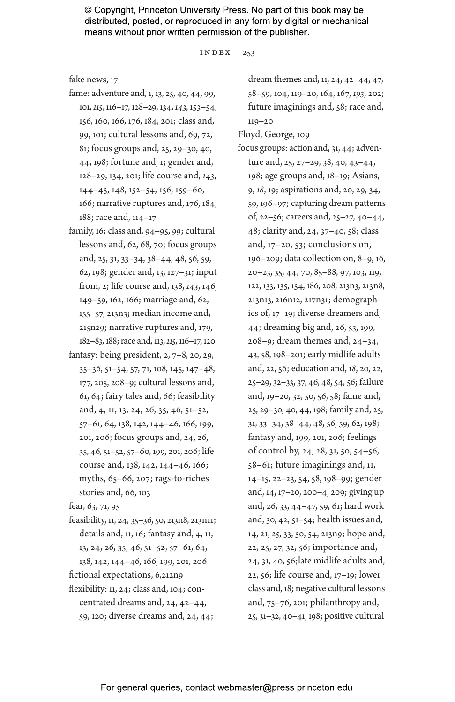$INDEX$  253

#### fake news, 17

- fame: adventure and, 1, 13, 25, 40, 44, 99, 101, *115*, 116–17, 128–29, 134, *143*, 153–54, 156, 160, 166, 176, 184, 201; class and, 99, 101; cultural lessons and, 69, 72, 81; focus groups and, 25, 29–30, 40, 44, 198; fortune and, 1; gender and, 128–29, 134, 201; life course and, *143*, 144–45, 148, 152–54, 156, 159–60, 166; narrative ruptures and, 176, 184, 188; race and, 114–17
- family, 16; class and, 94–95, *99*; cultural lessons and, 62, 68, 70; focus groups and, 25, 31, 33–34, 38–44, 48, 56, 59, 62, 198; gender and, 13, 127–31; input from, 2; life course and, 138, *143*, 146, 149–59, 162, 166; marriage and, 62, 155–57, 213n3; median income and, 215n29; narrative ruptures and, 179, 182–83, 188; race and, 113, *115*, 116–17, 120
- fantasy: being president, 2, 7–8, 20, 29, 35–36, 51–54, 57, 71, 108, 145, 147–48, 177, 205, 208–9; cultural lessons and, 61, 64; fairy tales and, 66; feasibility and, 4, 11, 13, 24, 26, 35, 46, 51–52, 57–61, 64, 138, 142, 144–46, 166, 199, 201, 206; focus groups and, 24, 26, 35, 46, 51–52, 57–60, 199, 201, 206; life course and, 138, 142, 144–46, 166; myths, 65–66, 207; rags-to-riches stories and, 66, 103

fear, 63, 71, 95

feasibility, 11, 24, 35–36, 50, 213n8, 213n11; details and, 11, 16; fantasy and, 4, 11, 13, 24, 26, 35, 46, 51–52, 57–61, 64, 138, 142, 144–46, 166, 199, 201, 206

fictional expectations, 6,212n9

flexibility: 11, 24; class and, 104; concentrated dreams and, 24, 42–44, 59, 120; diverse dreams and, 24, 44; dream themes and, 11, 24, 42–44, 47, 58–59, 104, 119–20, 164, 167, *193*, 202; future imaginings and, 58; race and, 119–20

Floyd, George, 109

focus groups: action and, 31, 44; adventure and, 25, 27–29, 38, 40, 43–44, 198; age groups and, 18–19; Asians, 9, *18*, 19; aspirations and, 20, 29, 34, 59, 196–97; capturing dream patterns of, 22–56; careers and, 25–27, 40–44, 48; clarity and, 24, 37–40, 58; class and, 17–20, 53; conclusions on, 196–209; data collection on, 8–9, 16, 20–23, 35, 44, 70, 85–88, 97, 103, 119, 122, 133, 135, 154, 186, 208, 213n3, 213n8, 213n13, 216n12, 217n31; demographics of, 17–19; diverse dreamers and, 44; dreaming big and, 26, 53, 199, 208–9; dream themes and, 24–34, 43, 58, 198–201; early midlife adults and, 22, 56; education and, *18*, 20, 22, 25–29, 32–33, 37, 46, 48, 54, 56; failure and, 19–20, 32, 50, 56, 58; fame and, 25, 29–30, 40, 44, 198; family and, 25, 31, 33–34, 38–44, 48, 56, 59, 62, 198; fantasy and, 199, 201, 206; feelings of control by, 24, 28, 31, 50, 54–56, 58–61; future imaginings and, 11, 14–15, 22–23, 54, 58, 198–99; gender and, 14, 17–20, 200–4, 209; giving up and, 26, 33, 44–47, 59, 61; hard work and, 30, 42, 51–54; health issues and, 14, 21, *25*, 33, 50, 54, 213n9; hope and, 22, 25, 27, 32, 56; importance and, 24, 31, 40, 56;late midlife adults and, 22, 56; life course and, 17–19; lower class and, 18; negative cultural lessons and, 75–76, 201; philanthropy and, 25, 31–32, 40–41, 198; positive cultural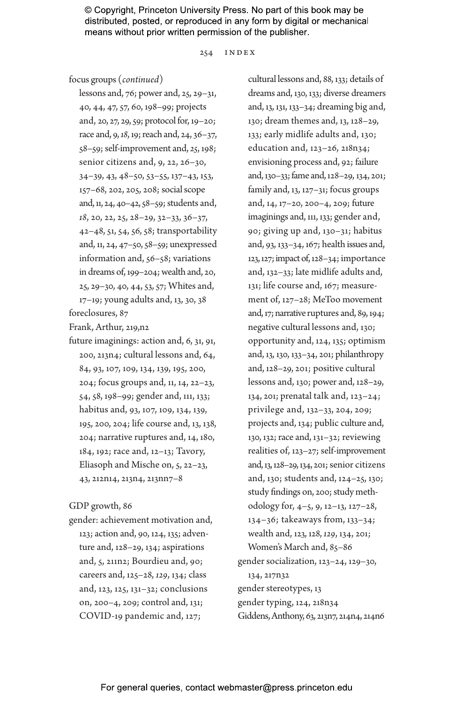254 index

focus groups (*continued*)

lessons and, 76; power and, 25, 29–31, 40, 44, 47, 57, 60, 198–99; projects and, 20, 27, 29, 59; protocol for, 19–20; race and, 9, *18*, 19; reach and, 24, 36–37, 58–59; self-improvement and, *25*, 198; senior citizens and, 9, 22, 26–30, 34–39, 43, 48–50, 53–55, 137–43, 153, 157–68, 202, 205, 208; social scope and, 11, 24, 40–42, 58–59; students and, *18*, 20, 22, 25, 28–29, 32–33, 36–37, 42–48, 51, 54, 56, 58; transportability and, 11, 24, 47–50, 58–59; unexpressed information and, 56–58; variations in dreams of, 199–204; wealth and, 20, 25, 29–30, 40, 44, 53, 57; Whites and, 17–19; young adults and, 13, 30, 38

foreclosures, 87

Frank, Arthur, 219,n2

future imaginings: action and, 6, 31, 91, 200, 213n4; cultural lessons and, 64, 84, 93, 107, 109, 134, 139, 195, 200, 204; focus groups and, 11, 14, 22–23, 54, 58, 198–99; gender and, 111, 133; habitus and, 93, 107, 109, 134, 139, 195, 200, 204; life course and, 13, 138, 204; narrative ruptures and, 14, 180, 184, 192; race and, 12–13; Tavory, Eliasoph and Mische on, 5, 22–23, 43, 212n14, 213n4, 213nn7–8

### GDP growth, 86

gender: achievement motivation and, 123; action and, 90, 124, 135; adventure and, 128–29, 134; aspirations and, 5, 211n2; Bourdieu and, 90; careers and, 125–28, *129*, 134; class and, 123, 125, 131–32; conclusions on, 200–4, 209; control and, 131; COVID-19 pandemic and, 127;

cultural lessons and, 88, 133; details of dreams and, 130, 133; diverse dreamers and, 13, 131, 133–34; dreaming big and, 130; dream themes and, 13, 128–29, 133; early midlife adults and, 130; education and, 123–26, 218n34; envisioning process and, 92; failure and, 130–33; fame and, 128–29, 134, 201; family and, 13, 127–31; focus groups and, 14, 17–20, 200–4, 209; future imaginings and, 111, 133; gender and, 90; giving up and, 130–31; habitus and, 93, 133–34, 167; health issues and, 123, 127; impact of, 128–34; importance and, 132–33; late midlife adults and, 131; life course and, 167; measurement of, 127–28; MeToo movement and, 17; narrative ruptures and, 89, 194; negative cultural lessons and, 130; opportunity and, 124, 135; optimism and, 13, 130, 133–34, 201; philanthropy and, 128–29, 201; positive cultural lessons and, 130; power and, 128–29, 134, 201; prenatal talk and, 123–24; privilege and, 132–33, 204, 209; projects and, 134; public culture and, 130, 132; race and, 131–32; reviewing realities of, 123–27; self-improvement and, 13, 128–29, 134, 201; senior citizens and, 130; students and, 124–25, 130; study findings on, 200; study methodology for, 4–5, 9, 12–13, 127–28, 134–36; takeaways from, 133–34; wealth and, 123, 128, *129*, 134, 201; Women's March and, 85–86 gender socialization, 123–24, 129–30, 134, 217n32 gender stereotypes, 13 gender typing, 124, 218n34 Giddens, Anthony, 63, 213n7, 214n4, 214n6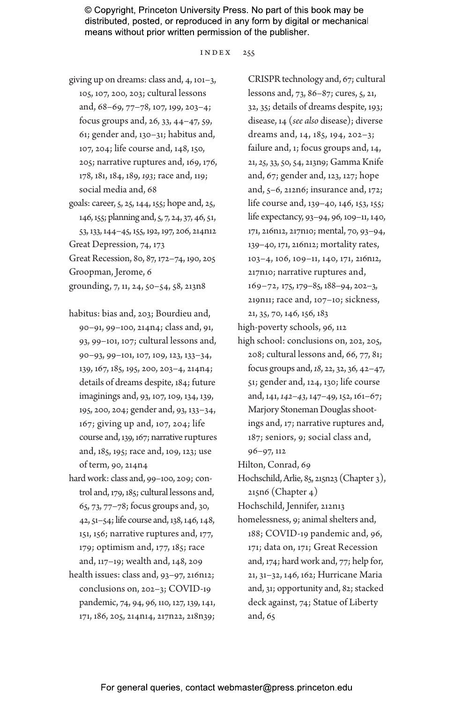index 255

- giving up on dreams: class and, 4, 101–3, 105, 107, 200, 203; cultural lessons and, 68–69, 77–78, 107, 199, 203–4; focus groups and, 26, 33, 44–47, 59, 61; gender and, 130–31; habitus and, 107, 204; life course and, 148, 150, 205; narrative ruptures and, 169, 176, 178, 181, 184, 189, *193*; race and, 119; social media and, 68
- goals: career, 5, 25, 144, 155; hope and, 25, 146, 155; planning and, 5, 7, 24, 37, 46, 51, 53, 133, 144–45, 155, 192, 197, 206, 214n12 Great Depression, 74, 173

Great Recession, 80, 87, 172–74, 190, 205 Groopman, Jerome, 6

grounding, 7, 11, 24, 50–54, 58, 213n8

- habitus: bias and, 203; Bourdieu and, 90–91, 99–100, 214n4; class and, 91, 93, 99–101, 107; cultural lessons and, 90–93, 99–101, 107, 109, 123, 133–34, 139, 167, 185, 195, 200, 203–4, 214n4; details of dreams despite, 184; future imaginings and, 93, 107, 109, 134, 139, 195, 200, 204; gender and, 93, 133–34, 167; giving up and, 107, 204; life course and, 139, 167; narrative ruptures and, 185, 195; race and, 109, 123; use of term, 90, 214n4
- hard work: class and, 99–100, 209; control and, 179, 185; cultural lessons and, 65, 73, 77–78; focus groups and, 30, 42, 51–54; life course and, 138, 146, 148, 151, 156; narrative ruptures and, 177, 179; optimism and, 177, 185; race and, 117–19; wealth and, 148, 209
- health issues: class and, 93–97, 216n12; conclusions on, 202–3; COVID-19 pandemic, 74, 94, 96, 110, 127, 139, 141, 171, 186, 205, 214n14, 217n22, 218n39;

CRISPR technology and, 67; cultural lessons and, 73, 86–87; cures, 5, 21, 32, 35; details of dreams despite, 193; disease, 14 (*see also* disease); diverse dreams and, 14, 185, 194, 202–3; failure and, 1; focus groups and, 14, 21, *25*, 33, 50, 54, 213n9; Gamma Knife and, 67; gender and, 123, 127; hope and, 5–6, 212n6; insurance and, 172; life course and, 139–40, 146, 153, 155; life expectancy, 93–94, 96, 109–11, 140, 171, 216n12, 217n10; mental, 70, 93–94, 139–40, 171, 216n12; mortality rates, 103–4, 106, 109–11, 140, 171, 216n12, 217n10; narrative ruptures and, 169–72, 175, 179–85, 188–94, 202–3, 219n11; race and, 107–10; sickness, 21, 35, 70, 146, 156, 183

high-poverty schools, 96, 112

high school: conclusions on, 202, 205, 208; cultural lessons and, 66, 77, 81; focus groups and, *18*, 22, 32, 36, 42–47, 51; gender and, 124, 130; life course and, 141, *142–43*, 147–49, 152, 161–67; Marjory Stoneman Douglas shootings and, 17; narrative ruptures and, 187; seniors, 9; social class and, 96–97, 112

Hilton, Conrad, 69

Hochschild, Arlie, 85, 215n23 (Chapter 3), 215n6 (Chapter 4)

Hochschild, Jennifer, 212n13

homelessness, 9; animal shelters and, 188; COVID-19 pandemic and, 96, 171; data on, 171; Great Recession and, 174; hard work and, 77; help for, 21, 31–32, 146, 162; Hurricane Maria and, 31; opportunity and, 82; stacked deck against, 74; Statue of Liberty and, 65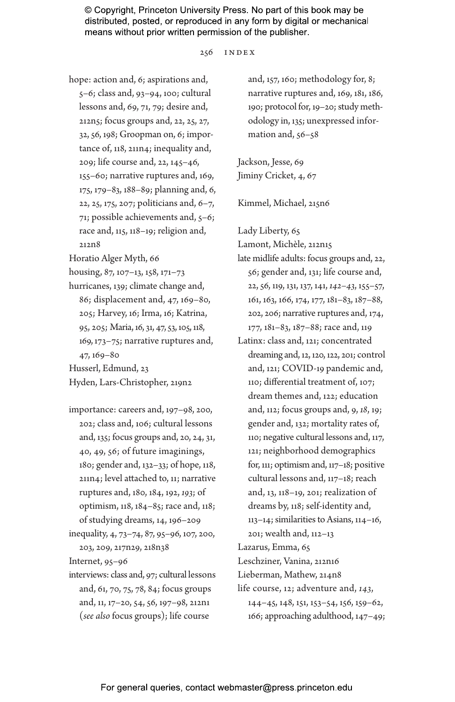#### 256 index

hope: action and, 6; aspirations and, 5–6; class and, 93–94, 100; cultural lessons and, 69, 71, 79; desire and, 212n5; focus groups and, 22, 25, 27, 32, 56, 198; Groopman on, 6; importance of, 118, 211n4; inequality and, 209; life course and, 22, 145–46, 155–60; narrative ruptures and, 169, 175, 179–83, 188–89; planning and, 6, 22, 25, 175, 207; politicians and, 6–7, 71; possible achievements and, 5–6; race and, 115, 118–19; religion and, 212n8

Horatio Alger Myth, 66

housing, 87, 107–13, 158, 171–73

hurricanes, 139; climate change and, 86; displacement and, 47, 169–80, 205; Harvey, 16; Irma, 16; Katrina, 95, 205; Maria, 16, 31, 47, 53, 105, 118, 169, 173–75; narrative ruptures and, 47, 169–80

Husserl, Edmund, 23

Hyden, Lars-Christopher, 219n2

- importance: careers and, 197–98, 200, 202; class and, 106; cultural lessons and, 135; focus groups and, 20, 24, 31, 40, 49, 56; of future imaginings, 180; gender and, 132–33; of hope, 118, 211n4; level attached to, 11; narrative ruptures and, 180, 184, 192, *193*; of optimism, 118, 184–85; race and, 118; of studying dreams, 14, 196–209
- inequality, 4, 73–74, 87, 95–96, 107, 200, 203, 209, 217n29, 218n38

Internet, 95–96

interviews: class and, 97; cultural lessons and, 61, 70, 75, 78, 84; focus groups and, 11, 17–20, 54, 56, 197–98, 212n1 (*see also* focus groups); life course

and, 157, 160; methodology for, 8; narrative ruptures and, 169, 181, 186, 190; protocol for, 19–20; study methodology in, 135; unexpressed information and, 56–58

Jackson, Jesse, 69 Jiminy Cricket, 4, 67

Kimmel, Michael, 215n6

Lady Liberty, 65

Lamont, Michèle, 212n15

- late midlife adults: focus groups and, 22, 56; gender and, 131; life course and, 22, 56, 119, 131, 137, 141, *142–43*, 155–57, 161, 163, 166, 174, 177, 181–83, 187–88, 202, 206; narrative ruptures and, 174, 177, 181–83, 187–88; race and, 119
- Latinx: class and, 121; concentrated dreaming and, 12, 120, 122, 201; control and, 121; COVID-19 pandemic and, 110; differential treatment of, 107; dream themes and, 122; education and, 112; focus groups and, 9, *18*, 19; gender and, 132; mortality rates of, 110; negative cultural lessons and, 117, 121; neighborhood demographics for, 111; optimism and, 117–18; positive cultural lessons and, 117–18; reach and, 13, 118–19, 201; realization of dreams by, 118; self-identity and, 113–14; similarities to Asians, 114–16, 201; wealth and, 112–13 Lazarus, Emma, 65 Leschziner, Vanina, 212n16 Lieberman, Mathew, 214n8 life course, 12; adventure and, *143*, 144–45, 148, 151, 153–54, 156, 159–62, 166; approaching adulthood, 147–49;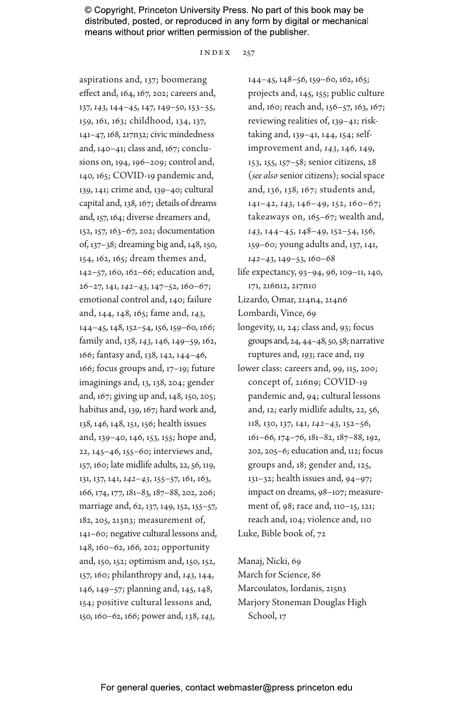index 257

aspirations and, 137; boomerang effect and, 164, 167, 202; careers and, 137, *143*, 144–45, 147, 149–50, 153–55, 159, 161, 163; childhood, 134, 137, 141–47, 168, 217n32; civic mindedness and, 140–41; class and, 167; conclusions on, 194, 196–209; control and, 140, 165; COVID-19 pandemic and, 139, 141; crime and, 139–40; cultural capital and, 138, 167; details of dreams and, 157, 164; diverse dreamers and, 152, 157, 163–67, 202; documentation of, 137–38; dreaming big and, 148, 150, 154, 162, 165; dream themes and, 142–57, 160, 162–66; education and, 26–27, 141, *142–43*, 147–52, 160–67; emotional control and, 140; failure and, 144, 148, 165; fame and, *143*, 144–45, 148, 152–54, 156, 159–60, 166; family and, 138, *143*, 146, 149–59, 162, 166; fantasy and, 138, 142, 144–46, 166; focus groups and, 17–19; future imaginings and, 13, 138, 204; gender and, 167; giving up and, 148, 150, 205; habitus and, 139, 167; hard work and, 138, 146, 148, 151, 156; health issues and, 139–40, 146, 153, 155; hope and, 22, 145–46, 155–60; interviews and, 157, 160; late midlife adults, 22, 56, 119, 131, 137, 141, *142–43*, 155–57, 161, 163, 166, 174, 177, 181–83, 187–88, 202, 206; marriage and, 62, 137, 149, 152, 155–57, 182, 205, 213n3; measurement of, 141–60; negative cultural lessons and, 148, 160–62, 166, 202; opportunity and, 150, 152; optimism and, 150, 152, 157, 160; philanthropy and, *143*, 144, 146, 149–57; planning and, 145, 148, 154; positive cultural lessons and, 150, 160–62, 166; power and, 138, *143*,

144–45, 148–56, 159–60, 162, 165; projects and, 145, 155; public culture and, 160; reach and, 156–57, 163, 167; reviewing realities of, 139–41; risktaking and, 139–41, 144, 154; selfimprovement and, *143*, 146, 149, 153, 155, 157–58; senior citizens, 28 (*see also* senior citizens); social space and, 136, 138, 167; students and, 141–42, *143*, 146–49, 152, 160–67; takeaways on, 165–67; wealth and, *143*, 144–45, 148–49, 152–54, 156, 159–60; young adults and, 137, 141, *142–43*, 149–53, 160–68

- life expectancy, 93–94, 96, 109–11, 140, 171, 216n12, 217n10
- Lizardo, Omar, 214n4, 214n6
- Lombardi, Vince, 69
- longevity, 11, 24; class and, 93; focus groups and, 24, 44–48, 50, 58; narrative ruptures and, *193*; race and, 119
- lower class: careers and, 99, 115, 200; concept of, 216n9; COVID-19 pandemic and, 94; cultural lessons and, 12; early midlife adults, 22, 56, 118, 130, 137, 141, *142–43*, 152–56, 161–66, 174–76, 181–82, 187–88, 192, 202, 205–6; education and, 112; focus groups and, 18; gender and, 125, 131–32; health issues and, 94–97; impact on dreams, 98–107; measurement of, 98; race and, 110–15, 121; reach and, 104; violence and, 110 Luke, Bible book of, 72

Manaj, Nicki, 69 March for Science, 86 Marcoulatos, Iordanis, 215n3 Marjory Stoneman Douglas High School, 17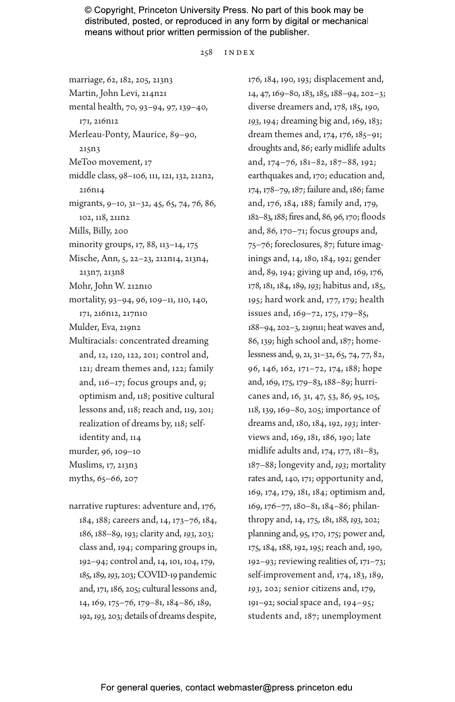258 index

marriage, 62, 182, 205, 213n3 Martin, John Levi, 214n21 mental health, 70, 93–94, 97, 139–40, 171, 216n12 Merleau-Ponty, Maurice, 89–90, 215n3 MeToo movement, 17 middle class, 98–106, 111, 121, 132, 212n2, 216n14 migrants, 9–10, 31–32, 45, 65, 74, 76, 86, 102, 118, 211n2 Mills, Billy, 200 minority groups, 17, 88, 113–14, 175 Mische, Ann, 5, 22–23, 212n14, 213n4, 213n7, 213n8 Mohr, John W. 212n10 mortality, 93–94, 96, 109–11, 110, 140, 171, 216n12, 217n10 Mulder, Eva, 219n2 Multiracials: concentrated dreaming and, 12, 120, 122, 201; control and, 121; dream themes and, 122; family and, 116–17; focus groups and, 9; optimism and, 118; positive cultural lessons and, 118; reach and, 119, 201; realization of dreams by, 118; selfidentity and, 114 murder, 96, 109–10 Muslims, 17, 213n3 myths, 65–66, 207

narrative ruptures: adventure and, 176, 184, 188; careers and, 14, 173–76, 184, 186, 188–89, 193; clarity and, *193*, 203; class and, 194; comparing groups in, 192–94; control and, 14, 101, 104, 179, 185, 189, *193*, 203; COVID-19 pandemic and, 171, 186, 205; cultural lessons and, 14, 169, 175–76, 179–81, 184–86, 189, 192, *193*, 203; details of dreams despite, 176, 184, 190, 193; displacement and, 14, 47, 169–80, 183, 185, 188–94, 202–3; diverse dreamers and, 178, 185, 190, *193*, 194; dreaming big and, 169, 183; dream themes and, 174, 176, 185–91; droughts and, 86; early midlife adults and, 174–76, 181–82, 187–88, 192; earthquakes and, 170; education and, 174, 178–79, 187; failure and, 186; fame and, 176, 184, 188; family and, 179, 182–83, 188; fires and, 86, 96, 170; floods and, 86, 170–71; focus groups and, 75–76; foreclosures, 87; future imaginings and, 14, 180, 184, 192; gender and, 89, 194; giving up and, 169, 176, 178, 181, 184, 189, *193*; habitus and, 185, 195; hard work and, 177, 179; health issues and, 169–72, 175, 179–85, 188–94, 202–3, 219n11; heat waves and, 86, 139; high school and, 187; homelessness and, 9, 21, 31–32, 65, 74, 77, 82, 96, 146, 162, 171–72, 174, 188; hope and, 169, 175, 179–83, 188–89; hurricanes and, 16, 31, 47, 53, 86, 95, 105, 118, 139, 169–80, 205; importance of dreams and, 180, 184, 192, *193*; interviews and, 169, 181, 186, 190; late midlife adults and, 174, 177, 181–83, 187–88; longevity and, *193*; mortality rates and, 140, 171; opportunity and, 169, 174, 179, 181, 184; optimism and, 169, 176–77, 180–81, 184–86; philanthropy and, 14, 175, 181, 188, *193*, 202; planning and, 95, 170, 175; power and, 175, 184, 188, 192, 195; reach and, 190, 192–93; reviewing realities of, 171–73; self-improvement and, 174, 183, 189, *193*, 202; senior citizens and, 179, 191–92; social space and, 194–95; students and, 187; unemployment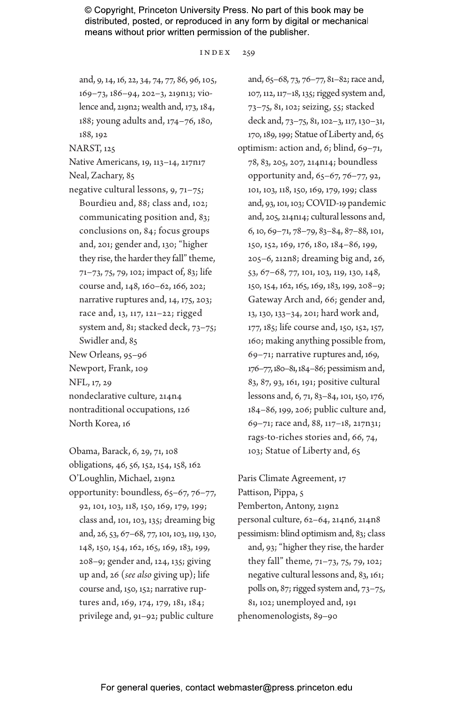index 259

and, 9, 14, 16, 22, 34, 74, 77, 86, 96, 105, 169–73, 186–94, 202–3, 219n13; violence and, 219n2; wealth and, 173, 184, 188; young adults and, 174–76, 180, 188, 192

NARST, 125

Native Americans, 19, 113–14, 217n17

Neal, Zachary, 85

- negative cultural lessons, 9, 71–75; Bourdieu and, 88; class and, 102; communicating position and, 83; conclusions on, 84; focus groups and, 201; gender and, 130; "higher they rise, the harder they fall" theme, 71–73, 75, 79, 102; impact of, 83; life course and, 148, 160–62, 166, 202; narrative ruptures and, 14, 175, 203; race and, 13, 117, 121–22; rigged system and, 81; stacked deck, 73–75; Swidler and, 85 New Orleans, 95–96 Newport, Frank, 109 NFL, 17, 29 nondeclarative culture, 214n4 nontraditional occupations, 126 North Korea, 16
- Obama, Barack, 6, 29, 71, 108 obligations, 46, 56, 152, 154, 158, 162 O'Loughlin, Michael, 219n2 opportunity: boundless, 65–67, 76–77, 92, 101, 103, 118, 150, 169, 179, 199; class and, 101, 103, 135; dreaming big and, 26, 53, 67–68, 77, 101, 103, 119, 130, 148, 150, 154, 162, 165, 169, 183, 199, 208–9; gender and, 124, 135; giving up and, 26 (*see also* giving up); life course and, 150, 152; narrative ruptures and, 169, 174, 179, 181, 184; privilege and, 91–92; public culture

and, 65–68, 73, 76–77, 81–82; race and, 107, 112, 117–18, 135; rigged system and, 73–75, 81, 102; seizing, 55; stacked deck and, 73–75, 81, 102–3, 117, 130–31, 170, 189, 199; Statue of Liberty and, 65 optimism: action and, 6; blind, 69–71, 78, 83, 205, 207, 214n14; boundless opportunity and, 65–67, 76–77, 92, 101, 103, 118, 150, 169, 179, 199; class and, 93, 101, 103; COVID-19 pandemic and, 205, 214n14; cultural lessons and, 6, 10, 69–71, 78–79, 83–84, 87–88, 101, 150, 152, 169, 176, 180, 184–86, 199, 205–6, 212n8; dreaming big and, 26, 53, 67–68, 77, 101, 103, 119, 130, 148, 150, 154, 162, 165, 169, 183, 199, 208–9; Gateway Arch and, 66; gender and, 13, 130, 133–34, 201; hard work and, 177, 185; life course and, 150, 152, 157, 160; making anything possible from, 69–71; narrative ruptures and, 169, 176–77, 180–81, 184–86; pessimism and, 83, 87, 93, 161, 191; positive cultural lessons and, 6, 71, 83–84, 101, 150, 176, 184–86, 199, 206; public culture and, 69–71; race and, 88, 117–18, 217n31; rags-to-riches stories and, 66, 74, 103; Statue of Liberty and, 65

Paris Climate Agreement, 17 Pattison, Pippa, 5 Pemberton, Antony, 219n2 personal culture, 62–64, 214n6, 214n8 pessimism: blind optimism and, 83; class and, 93; "higher they rise, the harder they fall" theme, 71–73, 75, 79, 102; negative cultural lessons and, 83, 161; polls on, 87; rigged system and, 73–75, 81, 102; unemployed and, 191 phenomenologists, 89–90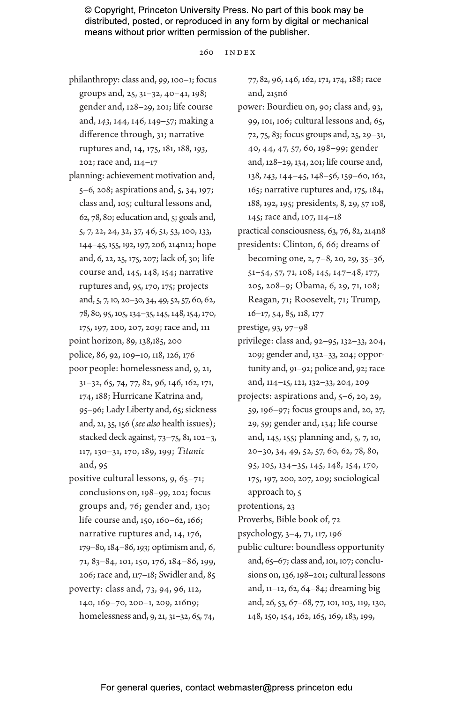$260$  INDEX

- philanthropy: class and, *99*, 100–1; focus groups and, 25, 31–32, 40–41, 198; gender and, 128–29, 201; life course and, *143*, 144, 146, 149–57; making a difference through, 31; narrative ruptures and, 14, 175, 181, 188, *193*, 202; race and, 114–17
- planning: achievement motivation and, 5–6, 208; aspirations and, 5, 34, 197; class and, 105; cultural lessons and, 62, 78, 80; education and, 5; goals and, 5, 7, 22, 24, 32, 37, 46, 51, 53, 100, 133, 144–45, 155, 192, 197, 206, 214n12; hope and, 6, 22, 25, 175, 207; lack of, 30; life course and, 145, 148, 154; narrative ruptures and, 95, 170, 175; projects and, 5, 7, 10, 20–30, 34, 49, 52, 57, 60, 62, 78, 80, 95, 105, 134–35, 145, 148, 154, 170,

175, 197, 200, 207, 209; race and, 111 point horizon, 89, 138,185, 200 police, 86, 92, 109–10, 118, 126, 176

- poor people: homelessness and, 9, 21, 31–32, 65, 74, 77, 82, 96, 146, 162, 171, 174, 188; Hurricane Katrina and, 95–96; Lady Liberty and, 65; sickness and, 21, 35, 156 (*see also* health issues); stacked deck against, 73–75, 81, 102–3, 117, 130–31, 170, 189, 199; *Titanic* and, 95
- positive cultural lessons, 9, 65–71; conclusions on, 198–99, 202; focus groups and, 76; gender and, 130; life course and, 150, 160–62, 166; narrative ruptures and, 14, 176, 179–80, 184–86, *193*; optimism and, 6, 71, 83–84, 101, 150, 176, 184–86, 199, 206; race and, 117–18; Swidler and, 85 poverty: class and, 73, 94, 96, 112, 140, 169–70, 200–1, 209, 216n9; homelessness and, 9, 21, 31–32, 65, 74,

77, 82, 96, 146, 162, 171, 174, 188; race and, 215n6

- power: Bourdieu on, 90; class and, 93, 99, 101, 106; cultural lessons and, 65, 72, 75, 83; focus groups and, 25, 29–31, 40, 44, 47, 57, 60, 198–99; gender and, 128–29, 134, 201; life course and, 138, *143*, 144–45, 148–56, 159–60, 162, 165; narrative ruptures and, 175, 184, 188, 192, 195; presidents, 8, 29, 57 108, 145; race and, 107, 114–18
- practical consciousness, 63, 76, 82, 214n8 presidents: Clinton, 6, 66; dreams of
- becoming one, 2, 7–8, 20, 29, 35–36, 51–54, 57, 71, 108, 145, 147–48, 177, 205, 208–9; Obama, 6, 29, 71, 108; Reagan, 71; Roosevelt, 71; Trump, 16–17, 54, 85, 118, 177

prestige, 93, 97–98

- privilege: class and, 92–95, 132–33, 204, 209; gender and, 132–33, 204; opportunity and, 91–92; police and, 92; race and, 114–15, 121, 132–33, 204, 209
- projects: aspirations and, 5–6, 20, 29, 59, 196–97; focus groups and, 20, 27, 29, 59; gender and, 134; life course and, 145, 155; planning and, 5, 7, 10, 20–30, 34, 49, 52, 57, 60, 62, 78, 80, 95, 105, 134–35, 145, 148, 154, 170, 175, 197, 200, 207, 209; sociological approach to, 5

protentions, 23

Proverbs, Bible book of, 72

psychology, 3–4, 71, 117, 196

public culture: boundless opportunity and, 65–67; class and, 101, 107; conclusions on, 136, 198–201; cultural lessons and, 11–12, 62, 64–84; dreaming big and, 26, 53, 67–68, 77, 101, 103, 119, 130, 148, 150, 154, 162, 165, 169, 183, 199,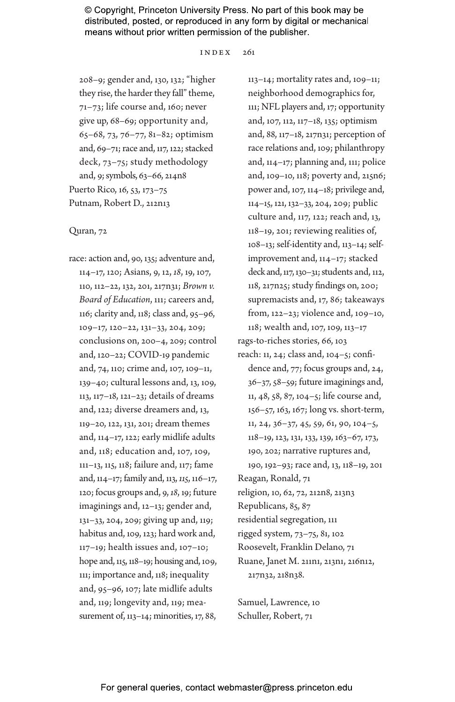$INDRX = 2.61$ 

208–9; gender and, 130, 132; "higher they rise, the harder they fall" theme, 71–73; life course and, 160; never give up, 68–69; opportunity and, 65–68, 73, 76–77, 81–82; optimism and, 69–71; race and, 117, 122; stacked deck, 73–75; study methodology and, 9; symbols, 63–66, 214n8 Puerto Rico, 16, 53, 173–75 Putnam, Robert D., 212n13

#### Quran, 72

race: action and, 90, 135; adventure and, 114–17, 120; Asians, 9, 12, *18*, 19, 107, 110, 112–22, 132, 201, 217n31; *Brown v. Board of Education*, 111; careers and, 116; clarity and, 118; class and, 95–96, 109–17, 120–22, 131–33, 204, 209; conclusions on, 200–4, 209; control and, 120–22; COVID-19 pandemic and, 74, 110; crime and, 107, 109–11, 139–40; cultural lessons and, 13, 109, 113, 117–18, 121–23; details of dreams and, 122; diverse dreamers and, 13, 119–20, 122, 131, 201; dream themes and, 114–17, 122; early midlife adults and, 118; education and, 107, 109, 111–13, 115, 118; failure and, 117; fame and, 114–17; family and, 113, *115*, 116–17, 120; focus groups and, 9, *18*, 19; future imaginings and, 12–13; gender and, 131–33, 204, 209; giving up and, 119; habitus and, 109, 123; hard work and, 117–19; health issues and, 107–10; hope and, 115, 118–19; housing and, 109, 111; importance and, 118; inequality and, 95–96, 107; late midlife adults and, 119; longevity and, 119; measurement of, 113–14; minorities, 17, 88,

113–14; mortality rates and, 109–11; neighborhood demographics for, 111; NFL players and, 17; opportunity and, 107, 112, 117–18, 135; optimism and, 88, 117–18, 217n31; perception of race relations and, 109; philanthropy and, 114–17; planning and, 111; police and, 109–10, 118; poverty and, 215n6; power and, 107, 114–18; privilege and, 114–15, 121, 132–33, 204, 209; public culture and, 117, 122; reach and, 13, 118–19, 201; reviewing realities of, 108–13; self-identity and, 113–14; selfimprovement and, 114–17; stacked deck and, 117, 130–31; students and, 112, 118, 217n25; study findings on, 200; supremacists and, 17, 86; takeaways from, 122–23; violence and, 109–10, 118; wealth and, 107, 109, 113–17 rags-to-riches stories, 66, 103 reach: 11, 24; class and, 104–5; confidence and, 77; focus groups and, 24, 36–37, 58–59; future imaginings and, 11, 48, 58, 87, 104–5; life course and, 156–57, 163, 167; long vs. short-term, 11, 24, 36–37, 45, 59, 61, 90, 104–5, 118–19, 123, 131, 133, 139, 163–67, 173, 190, 202; narrative ruptures and, 190, 192–93; race and, 13, 118–19, 201 Reagan, Ronald, 71 religion, 10, 62, 72, 212n8, 213n3 Republicans, 85, 87 residential segregation, 111 rigged system, 73–75, 81, 102 Roosevelt, Franklin Delano, 71 Ruane, Janet M. 211n1, 213n1, 216n12, 217n32, 218n38.

Samuel, Lawrence, 10 Schuller, Robert, 71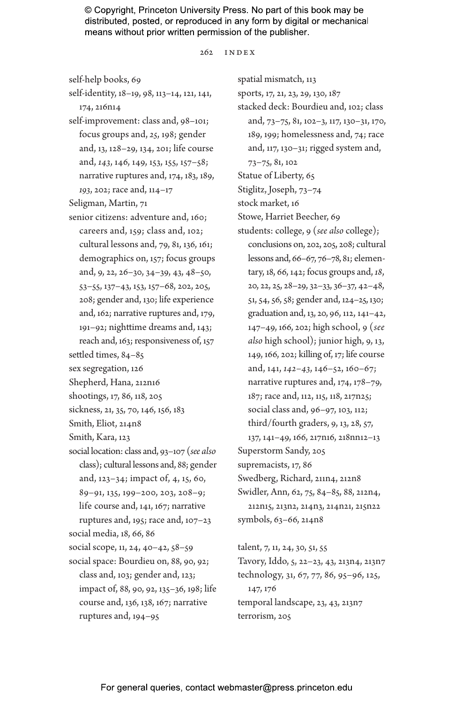$2.62 \quad \text{IN DER}$ 

self-help books, 69

self-identity, 18–19, 98, 113–14, 121, 141, 174, 216n14 self-improvement: class and, 98–101; focus groups and, *25*, 198; gender

- and, 13, 128–29, 134, 201; life course and, *143*, 146, 149, 153, 155, 157–58; narrative ruptures and, 174, 183, 189, *193*, 202; race and, 114–17
- Seligman, Martin, 71
- senior citizens: adventure and, 160; careers and, 159; class and, 102; cultural lessons and, 79, 81, 136, 161; demographics on, 157; focus groups and, 9, 22, 26–30, 34–39, 43, 48–50, 53–55, 137–43, 153, 157–68, 202, 205, 208; gender and, 130; life experience and, 162; narrative ruptures and, 179,

191–92; nighttime dreams and, 143; reach and, 163; responsiveness of, 157

- settled times, 84–85
- sex segregation, 126
- Shepherd, Hana, 212n16
- shootings, 17, 86, 118, 205
- sickness, 21, 35, 70, 146, 156, 183
- Smith, Eliot, 214n8
- Smith, Kara, 123
- social location: class and, 93–107 (*see also* class); cultural lessons and, 88; gender and, 123–34; impact of, 4, 15, 60, 89–91, 135, 199–200, 203, 208–9; life course and, 141, 167; narrative ruptures and, 195; race and, 107–23 social media, 18, 66, 86 social scope, 11, 24, 40–42, 58–59 social space: Bourdieu on, 88, 90, 92; class and, 103; gender and, 123;
- impact of, 88, 90, 92, 135–36, 198; life course and, 136, 138, 167; narrative ruptures and, 194–95

spatial mismatch, 113 sports, 17, 21, 23, 29, 130, 187 stacked deck: Bourdieu and, 102; class and, 73–75, 81, 102–3, 117, 130–31, 170, 189, 199; homelessness and, 74; race and, 117, 130–31; rigged system and, 73–75, 81, 102 Statue of Liberty, 65 Stiglitz, Joseph, 73–74 stock market, 16 Stowe, Harriet Beecher, 69 students: college, 9 (*see also* college); conclusions on, 202, 205, 208; cultural lessons and, 66–67, 76–78, 81; elementary, 18, 66, 142; focus groups and, *18*, 20, 22, 25, 28–29, 32–33, 36–37, 42–48, 51, 54, 56, 58; gender and, 124–25, 130; graduation and, 13, 20, 96, 112, 141–42, 147–49, 166, 202; high school, 9 (*see also* high school); junior high, 9, 13, 149, 166, 202; killing of, 17; life course and, 141, *142–43*, 146–52, 160–67; narrative ruptures and, 174, 178–79, 187; race and, 112, 115, 118, 217n25; social class and, 96–97, 103, 112; third/fourth graders, 9, 13, 28, 57, 137, 141–49, 166, 217n16, 218nn12–13 Superstorm Sandy, 205 supremacists, 17, 86 Swedberg, Richard, 211n4, 212n8 Swidler, Ann, 62, 75, 84–85, 88, 212n4, 212n15, 213n2, 214n3, 214n21, 215n22

symbols, 63–66, 214n8

talent, 7, 11, 24, 30, 51, 55 Tavory, Iddo, 5, 22–23, 43, 213n4, 213n7 technology, 31, 67, 77, 86, 95–96, 125, 147, 176 temporal landscape, 23, 43, 213n7 terrorism, 205